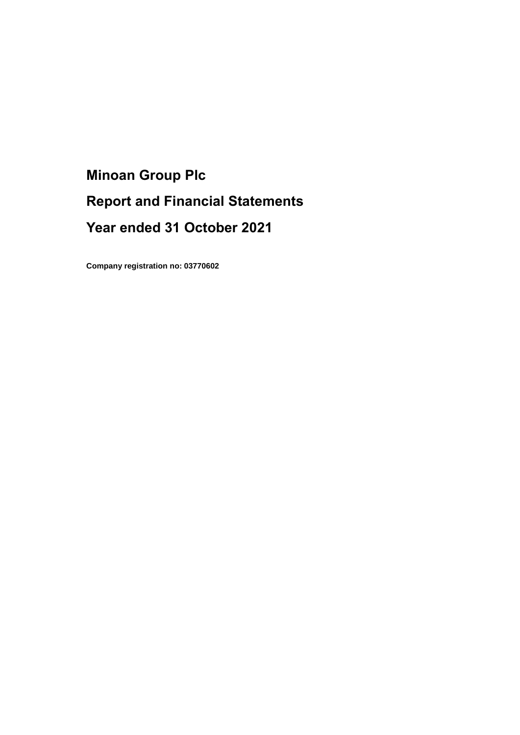# **Minoan Group Plc Report and Financial Statements Year ended 31 October 2021**

**Company registration no: 03770602**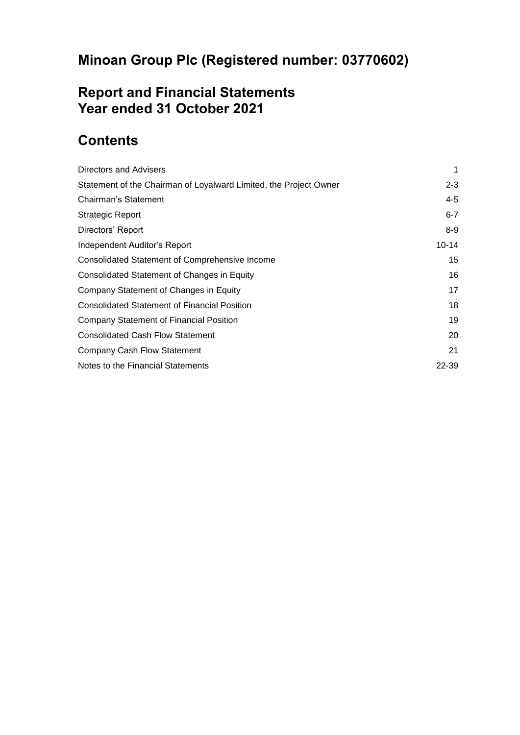# **Report and Financial Statements Year ended 31 October 2021**

# **Contents**

| Directors and Advisers                                            | 1         |
|-------------------------------------------------------------------|-----------|
| Statement of the Chairman of Loyalward Limited, the Project Owner | $2 - 3$   |
| Chairman's Statement                                              | $4 - 5$   |
| Strategic Report                                                  | $6 - 7$   |
| Directors' Report                                                 | $8-9$     |
| Independent Auditor's Report                                      | $10 - 14$ |
| Consolidated Statement of Comprehensive Income                    | 15        |
| Consolidated Statement of Changes in Equity                       | 16        |
| Company Statement of Changes in Equity                            | 17        |
| <b>Consolidated Statement of Financial Position</b>               | 18        |
| <b>Company Statement of Financial Position</b>                    | 19        |
| <b>Consolidated Cash Flow Statement</b>                           | 20        |
| <b>Company Cash Flow Statement</b>                                | 21        |
| Notes to the Financial Statements                                 | 22-39     |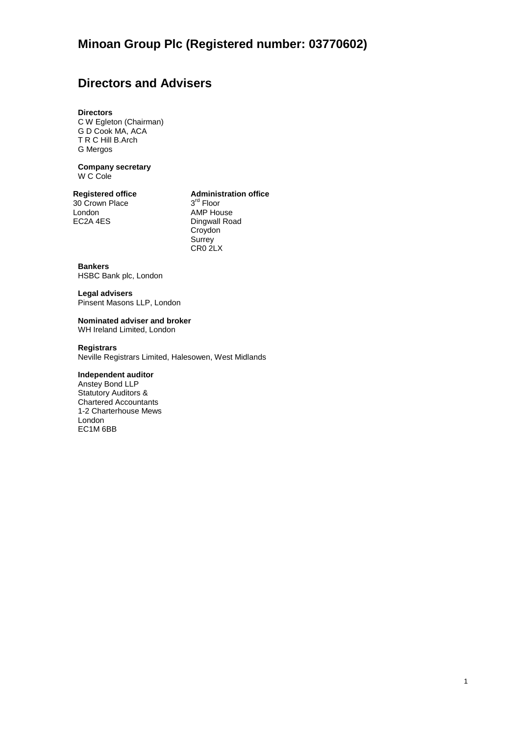# **Directors and Advisers**

### **Directors**

C W Egleton (Chairman) G D Cook MA, ACA T R C Hill B.Arch G Mergos

**Company secretary** W C Cole

30 Crown Place London AMP House<br>EC2A 4ES Dingwall Road

### **Registered office Administration office**

3<sup>rd</sup> Floor Dingwall Road **Croydon Surrey** CR0 2LX

### **Bankers**

HSBC Bank plc, London

## **Legal advisers**

Pinsent Masons LLP, London

#### **Nominated adviser and broker** WH Ireland Limited, London

## **Registrars**

Neville Registrars Limited, Halesowen, West Midlands

## **Independent auditor**

Anstey Bond LLP Statutory Auditors & Chartered Accountants 1-2 Charterhouse Mews London EC1M 6BB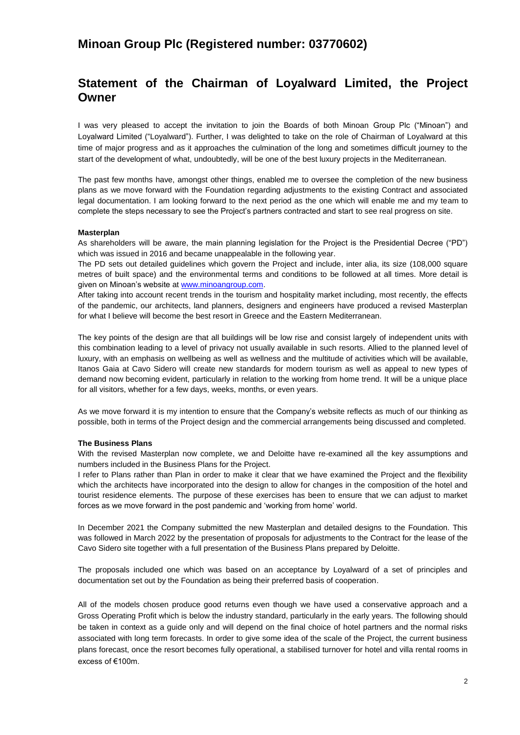## **Statement of the Chairman of Loyalward Limited, the Project Owner**

I was very pleased to accept the invitation to join the Boards of both Minoan Group Plc ("Minoan") and Loyalward Limited ("Loyalward"). Further, I was delighted to take on the role of Chairman of Loyalward at this time of major progress and as it approaches the culmination of the long and sometimes difficult journey to the start of the development of what, undoubtedly, will be one of the best luxury projects in the Mediterranean.

The past few months have, amongst other things, enabled me to oversee the completion of the new business plans as we move forward with the Foundation regarding adjustments to the existing Contract and associated legal documentation. I am looking forward to the next period as the one which will enable me and my team to complete the steps necessary to see the Project's partners contracted and start to see real progress on site.

### **Masterplan**

As shareholders will be aware, the main planning legislation for the Project is the Presidential Decree ("PD") which was issued in 2016 and became unappealable in the following year.

The PD sets out detailed guidelines which govern the Project and include, inter alia, its size (108,000 square metres of built space) and the environmental terms and conditions to be followed at all times. More detail is given on Minoan's website at [www.minoangroup.com.](http://www.minoangroup.com/)

After taking into account recent trends in the tourism and hospitality market including, most recently, the effects of the pandemic, our architects, land planners, designers and engineers have produced a revised Masterplan for what I believe will become the best resort in Greece and the Eastern Mediterranean.

The key points of the design are that all buildings will be low rise and consist largely of independent units with this combination leading to a level of privacy not usually available in such resorts. Allied to the planned level of luxury, with an emphasis on wellbeing as well as wellness and the multitude of activities which will be available, Itanos Gaia at Cavo Sidero will create new standards for modern tourism as well as appeal to new types of demand now becoming evident, particularly in relation to the working from home trend. It will be a unique place for all visitors, whether for a few days, weeks, months, or even years.

As we move forward it is my intention to ensure that the Company's website reflects as much of our thinking as possible, both in terms of the Project design and the commercial arrangements being discussed and completed.

### **The Business Plans**

With the revised Masterplan now complete, we and Deloitte have re-examined all the key assumptions and numbers included in the Business Plans for the Project.

I refer to Plans rather than Plan in order to make it clear that we have examined the Project and the flexibility which the architects have incorporated into the design to allow for changes in the composition of the hotel and tourist residence elements. The purpose of these exercises has been to ensure that we can adjust to market forces as we move forward in the post pandemic and 'working from home' world.

In December 2021 the Company submitted the new Masterplan and detailed designs to the Foundation. This was followed in March 2022 by the presentation of proposals for adjustments to the Contract for the lease of the Cavo Sidero site together with a full presentation of the Business Plans prepared by Deloitte.

The proposals included one which was based on an acceptance by Loyalward of a set of principles and documentation set out by the Foundation as being their preferred basis of cooperation.

All of the models chosen produce good returns even though we have used a conservative approach and a Gross Operating Profit which is below the industry standard, particularly in the early years. The following should be taken in context as a guide only and will depend on the final choice of hotel partners and the normal risks associated with long term forecasts. In order to give some idea of the scale of the Project, the current business plans forecast, once the resort becomes fully operational, a stabilised turnover for hotel and villa rental rooms in excess of €100m.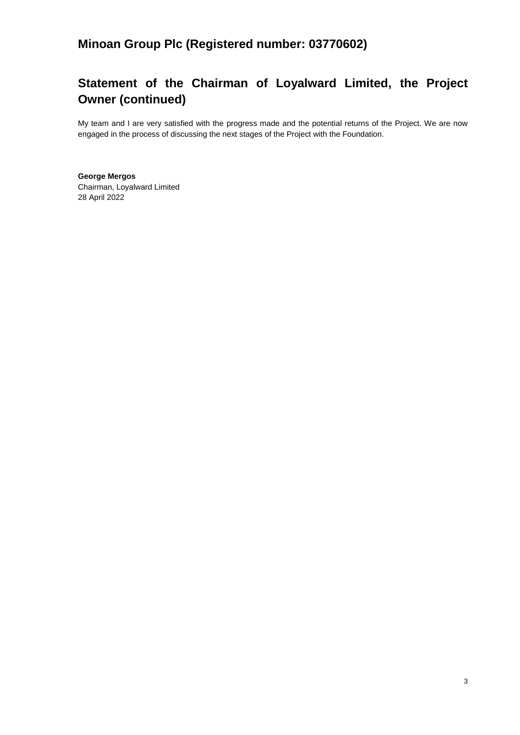# **Statement of the Chairman of Loyalward Limited, the Project Owner (continued)**

My team and I are very satisfied with the progress made and the potential returns of the Project. We are now engaged in the process of discussing the next stages of the Project with the Foundation.

**George Mergos** Chairman, Loyalward Limited 28 April 2022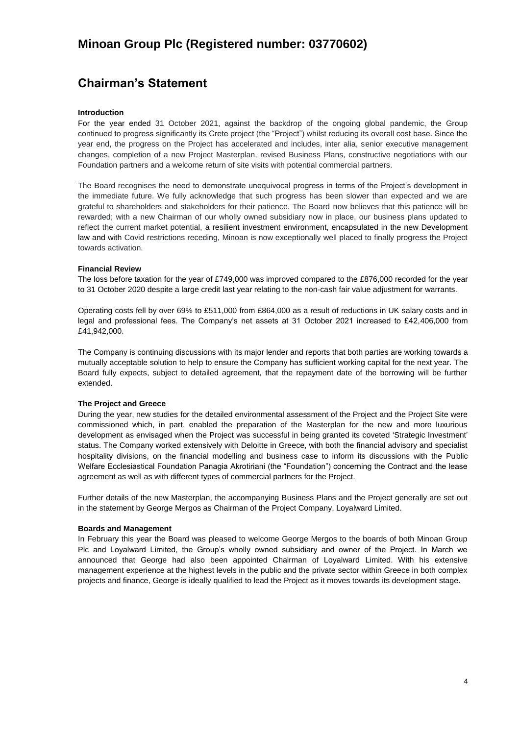# **Chairman's Statement**

## **Introduction**

For the year ended 31 October 2021, against the backdrop of the ongoing global pandemic, the Group continued to progress significantly its Crete project (the "Project") whilst reducing its overall cost base. Since the year end, the progress on the Project has accelerated and includes, inter alia, senior executive management changes, completion of a new Project Masterplan, revised Business Plans, constructive negotiations with our Foundation partners and a welcome return of site visits with potential commercial partners.

The Board recognises the need to demonstrate unequivocal progress in terms of the Project's development in the immediate future. We fully acknowledge that such progress has been slower than expected and we are grateful to shareholders and stakeholders for their patience. The Board now believes that this patience will be rewarded; with a new Chairman of our wholly owned subsidiary now in place, our business plans updated to reflect the current market potential, a resilient investment environment, encapsulated in the new Development law and with Covid restrictions receding, Minoan is now exceptionally well placed to finally progress the Project towards activation.

### **Financial Review**

The loss before taxation for the year of £749,000 was improved compared to the £876,000 recorded for the year to 31 October 2020 despite a large credit last year relating to the non-cash fair value adjustment for warrants.

Operating costs fell by over 69% to £511,000 from £864,000 as a result of reductions in UK salary costs and in legal and professional fees. The Company's net assets at 31 October 2021 increased to £42,406,000 from £41,942,000.

The Company is continuing discussions with its major lender and reports that both parties are working towards a mutually acceptable solution to help to ensure the Company has sufficient working capital for the next year. The Board fully expects, subject to detailed agreement, that the repayment date of the borrowing will be further extended.

#### **The Project and Greece**

During the year, new studies for the detailed environmental assessment of the Project and the Project Site were commissioned which, in part, enabled the preparation of the Masterplan for the new and more luxurious development as envisaged when the Project was successful in being granted its coveted 'Strategic Investment' status. The Company worked extensively with Deloitte in Greece, with both the financial advisory and specialist hospitality divisions, on the financial modelling and business case to inform its discussions with the Public Welfare Ecclesiastical Foundation Panagia Akrotiriani (the "Foundation") concerning the Contract and the lease agreement as well as with different types of commercial partners for the Project.

Further details of the new Masterplan, the accompanying Business Plans and the Project generally are set out in the statement by George Mergos as Chairman of the Project Company, Loyalward Limited.

#### **Boards and Management**

In February this year the Board was pleased to welcome George Mergos to the boards of both Minoan Group Plc and Loyalward Limited, the Group's wholly owned subsidiary and owner of the Project. In March we announced that George had also been appointed Chairman of Loyalward Limited. With his extensive management experience at the highest levels in the public and the private sector within Greece in both complex projects and finance, George is ideally qualified to lead the Project as it moves towards its development stage.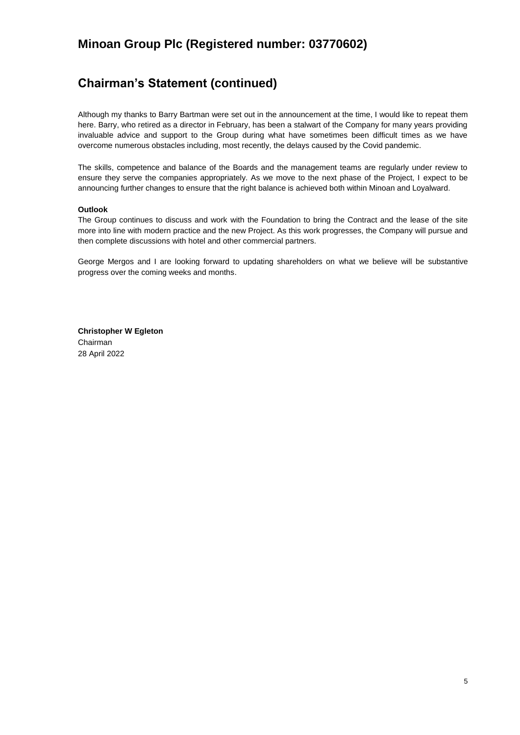# **Chairman's Statement (continued)**

Although my thanks to Barry Bartman were set out in the announcement at the time, I would like to repeat them here. Barry, who retired as a director in February, has been a stalwart of the Company for many years providing invaluable advice and support to the Group during what have sometimes been difficult times as we have overcome numerous obstacles including, most recently, the delays caused by the Covid pandemic.

The skills, competence and balance of the Boards and the management teams are regularly under review to ensure they serve the companies appropriately. As we move to the next phase of the Project, I expect to be announcing further changes to ensure that the right balance is achieved both within Minoan and Loyalward.

## **Outlook**

The Group continues to discuss and work with the Foundation to bring the Contract and the lease of the site more into line with modern practice and the new Project. As this work progresses, the Company will pursue and then complete discussions with hotel and other commercial partners.

George Mergos and I are looking forward to updating shareholders on what we believe will be substantive progress over the coming weeks and months.

**Christopher W Egleton** Chairman 28 April 2022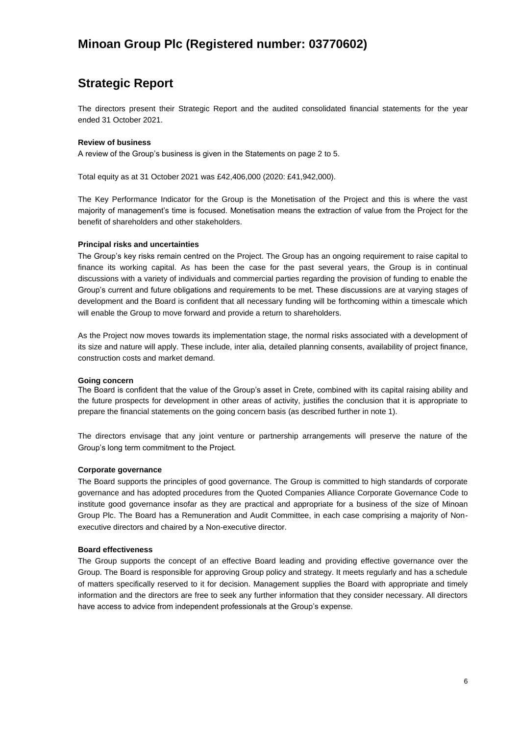# **Strategic Report**

The directors present their Strategic Report and the audited consolidated financial statements for the year ended 31 October 2021.

### **Review of business**

A review of the Group's business is given in the Statements on page 2 to 5.

Total equity as at 31 October 2021 was £42,406,000 (2020: £41,942,000).

The Key Performance Indicator for the Group is the Monetisation of the Project and this is where the vast majority of management's time is focused. Monetisation means the extraction of value from the Project for the benefit of shareholders and other stakeholders.

## **Principal risks and uncertainties**

The Group's key risks remain centred on the Project. The Group has an ongoing requirement to raise capital to finance its working capital. As has been the case for the past several years, the Group is in continual discussions with a variety of individuals and commercial parties regarding the provision of funding to enable the Group's current and future obligations and requirements to be met. These discussions are at varying stages of development and the Board is confident that all necessary funding will be forthcoming within a timescale which will enable the Group to move forward and provide a return to shareholders.

As the Project now moves towards its implementation stage, the normal risks associated with a development of its size and nature will apply. These include, inter alia, detailed planning consents, availability of project finance, construction costs and market demand.

## **Going concern**

The Board is confident that the value of the Group's asset in Crete, combined with its capital raising ability and the future prospects for development in other areas of activity, justifies the conclusion that it is appropriate to prepare the financial statements on the going concern basis (as described further in note 1).

The directors envisage that any joint venture or partnership arrangements will preserve the nature of the Group's long term commitment to the Project.

## **Corporate governance**

The Board supports the principles of good governance. The Group is committed to high standards of corporate governance and has adopted procedures from the Quoted Companies Alliance Corporate Governance Code to institute good governance insofar as they are practical and appropriate for a business of the size of Minoan Group Plc. The Board has a Remuneration and Audit Committee, in each case comprising a majority of Nonexecutive directors and chaired by a Non-executive director.

## **Board effectiveness**

The Group supports the concept of an effective Board leading and providing effective governance over the Group. The Board is responsible for approving Group policy and strategy. It meets regularly and has a schedule of matters specifically reserved to it for decision. Management supplies the Board with appropriate and timely information and the directors are free to seek any further information that they consider necessary. All directors have access to advice from independent professionals at the Group's expense.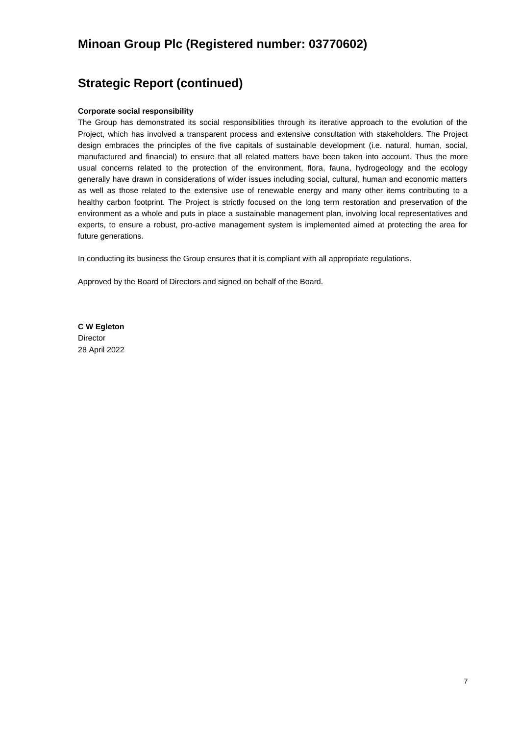# **Strategic Report (continued)**

### **Corporate social responsibility**

The Group has demonstrated its social responsibilities through its iterative approach to the evolution of the Project, which has involved a transparent process and extensive consultation with stakeholders. The Project design embraces the principles of the five capitals of sustainable development (i.e. natural, human, social, manufactured and financial) to ensure that all related matters have been taken into account. Thus the more usual concerns related to the protection of the environment, flora, fauna, hydrogeology and the ecology generally have drawn in considerations of wider issues including social, cultural, human and economic matters as well as those related to the extensive use of renewable energy and many other items contributing to a healthy carbon footprint. The Project is strictly focused on the long term restoration and preservation of the environment as a whole and puts in place a sustainable management plan, involving local representatives and experts, to ensure a robust, pro-active management system is implemented aimed at protecting the area for future generations.

In conducting its business the Group ensures that it is compliant with all appropriate regulations.

Approved by the Board of Directors and signed on behalf of the Board.

**C W Egleton** Director 28 April 2022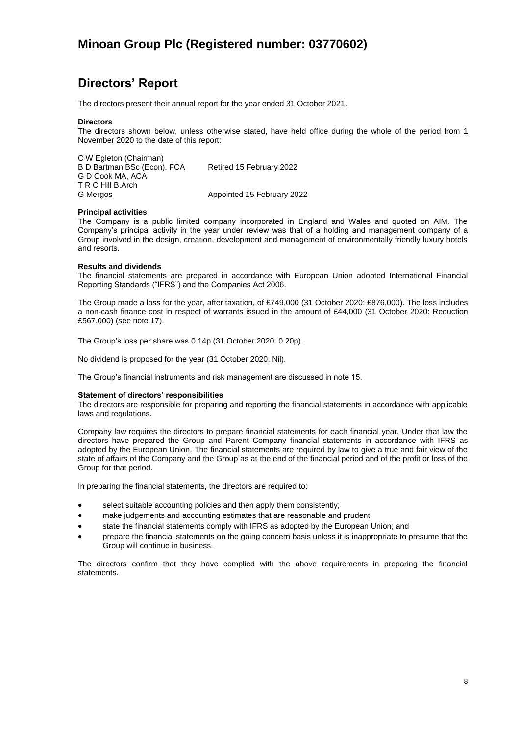# **Directors' Report**

The directors present their annual report for the year ended 31 October 2021.

#### **Directors**

The directors shown below, unless otherwise stated, have held office during the whole of the period from 1 November 2020 to the date of this report:

C W Egleton (Chairman) B D Bartman BSc (Econ), FCA Retired 15 February 2022 G D Cook MA, ACA T R C Hill B.Arch G Mergos **Appointed 15 February 2022** 

#### **Principal activities**

The Company is a public limited company incorporated in England and Wales and quoted on AIM. The Company's principal activity in the year under review was that of a holding and management company of a Group involved in the design, creation, development and management of environmentally friendly luxury hotels and resorts.

### **Results and dividends**

The financial statements are prepared in accordance with European Union adopted International Financial Reporting Standards ("IFRS") and the Companies Act 2006.

The Group made a loss for the year, after taxation, of £749,000 (31 October 2020: £876,000). The loss includes a non-cash finance cost in respect of warrants issued in the amount of £44,000 (31 October 2020: Reduction £567,000) (see note 17).

The Group's loss per share was 0.14p (31 October 2020: 0.20p).

No dividend is proposed for the year (31 October 2020: Nil).

The Group's financial instruments and risk management are discussed in note 15.

#### **Statement of directors' responsibilities**

The directors are responsible for preparing and reporting the financial statements in accordance with applicable laws and regulations.

Company law requires the directors to prepare financial statements for each financial year. Under that law the directors have prepared the Group and Parent Company financial statements in accordance with IFRS as adopted by the European Union. The financial statements are required by law to give a true and fair view of the state of affairs of the Company and the Group as at the end of the financial period and of the profit or loss of the Group for that period.

In preparing the financial statements, the directors are required to:

- select suitable accounting policies and then apply them consistently;
- make judgements and accounting estimates that are reasonable and prudent;
- state the financial statements comply with IFRS as adopted by the European Union; and
- prepare the financial statements on the going concern basis unless it is inappropriate to presume that the Group will continue in business.

The directors confirm that they have complied with the above requirements in preparing the financial statements.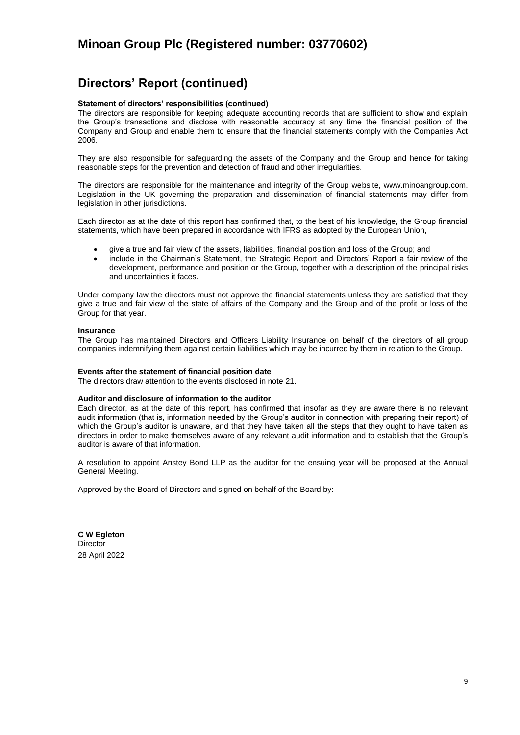# **Directors' Report (continued)**

### **Statement of directors' responsibilities (continued)**

The directors are responsible for keeping adequate accounting records that are sufficient to show and explain the Group's transactions and disclose with reasonable accuracy at any time the financial position of the Company and Group and enable them to ensure that the financial statements comply with the Companies Act 2006.

They are also responsible for safeguarding the assets of the Company and the Group and hence for taking reasonable steps for the prevention and detection of fraud and other irregularities.

The directors are responsible for the maintenance and integrity of the Group website, [www.minoangroup.com.](http://www.minoangroup.com/)  Legislation in the UK governing the preparation and dissemination of financial statements may differ from legislation in other jurisdictions.

Each director as at the date of this report has confirmed that, to the best of his knowledge, the Group financial statements, which have been prepared in accordance with IFRS as adopted by the European Union,

- give a true and fair view of the assets, liabilities, financial position and loss of the Group; and
- include in the Chairman's Statement, the Strategic Report and Directors' Report a fair review of the development, performance and position or the Group, together with a description of the principal risks and uncertainties it faces.

Under company law the directors must not approve the financial statements unless they are satisfied that they give a true and fair view of the state of affairs of the Company and the Group and of the profit or loss of the Group for that year.

#### **Insurance**

The Group has maintained Directors and Officers Liability Insurance on behalf of the directors of all group companies indemnifying them against certain liabilities which may be incurred by them in relation to the Group.

#### **Events after the statement of financial position date**

The directors draw attention to the events disclosed in note 21.

#### **Auditor and disclosure of information to the auditor**

Each director, as at the date of this report, has confirmed that insofar as they are aware there is no relevant audit information (that is, information needed by the Group's auditor in connection with preparing their report) of which the Group's auditor is unaware, and that they have taken all the steps that they ought to have taken as directors in order to make themselves aware of any relevant audit information and to establish that the Group's auditor is aware of that information.

A resolution to appoint Anstey Bond LLP as the auditor for the ensuing year will be proposed at the Annual General Meeting.

Approved by the Board of Directors and signed on behalf of the Board by:

**C W Egleton Director** 28 April 2022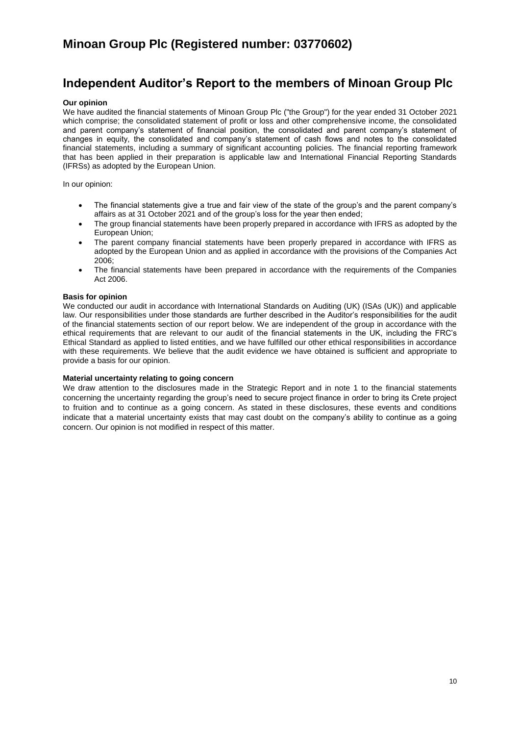# **Independent Auditor's Report to the members of Minoan Group Plc**

#### **Our opinion**

We have audited the financial statements of Minoan Group Plc ("the Group") for the year ended 31 October 2021 which comprise; the consolidated statement of profit or loss and other comprehensive income, the consolidated and parent company's statement of financial position, the consolidated and parent company's statement of changes in equity, the consolidated and company's statement of cash flows and notes to the consolidated financial statements, including a summary of significant accounting policies. The financial reporting framework that has been applied in their preparation is applicable law and International Financial Reporting Standards (IFRSs) as adopted by the European Union.

In our opinion:

- The financial statements give a true and fair view of the state of the group's and the parent company's affairs as at 31 October 2021 and of the group's loss for the year then ended;
- The group financial statements have been properly prepared in accordance with IFRS as adopted by the European Union;
- The parent company financial statements have been properly prepared in accordance with IFRS as adopted by the European Union and as applied in accordance with the provisions of the Companies Act 2006;
- The financial statements have been prepared in accordance with the requirements of the Companies Act 2006.

### **Basis for opinion**

We conducted our audit in accordance with International Standards on Auditing (UK) (ISAs (UK)) and applicable law. Our responsibilities under those standards are further described in the Auditor's responsibilities for the audit of the financial statements section of our report below. We are independent of the group in accordance with the ethical requirements that are relevant to our audit of the financial statements in the UK, including the FRC's Ethical Standard as applied to listed entities, and we have fulfilled our other ethical responsibilities in accordance with these requirements. We believe that the audit evidence we have obtained is sufficient and appropriate to provide a basis for our opinion.

#### **Material uncertainty relating to going concern**

We draw attention to the disclosures made in the Strategic Report and in note 1 to the financial statements concerning the uncertainty regarding the group's need to secure project finance in order to bring its Crete project to fruition and to continue as a going concern. As stated in these disclosures, these events and conditions indicate that a material uncertainty exists that may cast doubt on the company's ability to continue as a going concern. Our opinion is not modified in respect of this matter.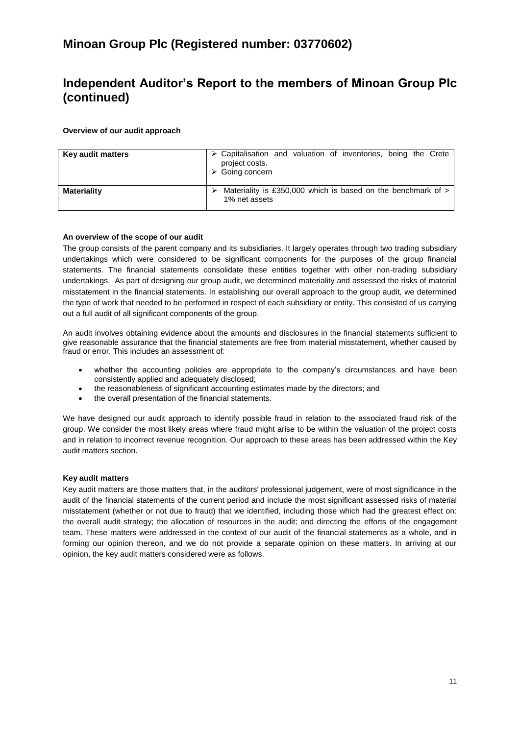# **Independent Auditor's Report to the members of Minoan Group Plc (continued)**

## **Overview of our audit approach**

| Key audit matters  | $\triangleright$ Capitalisation and valuation of inventories, being the Crete<br>project costs.<br>$\triangleright$ Going concern |
|--------------------|-----------------------------------------------------------------------------------------------------------------------------------|
| <b>Materiality</b> | Materiality is £350,000 which is based on the benchmark of $>$<br>1% net assets                                                   |

### **An overview of the scope of our audit**

The group consists of the parent company and its subsidiaries. It largely operates through two trading subsidiary undertakings which were considered to be significant components for the purposes of the group financial statements. The financial statements consolidate these entities together with other non-trading subsidiary undertakings. As part of designing our group audit, we determined materiality and assessed the risks of material misstatement in the financial statements. In establishing our overall approach to the group audit, we determined the type of work that needed to be performed in respect of each subsidiary or entity. This consisted of us carrying out a full audit of all significant components of the group.

An audit involves obtaining evidence about the amounts and disclosures in the financial statements sufficient to give reasonable assurance that the financial statements are free from material misstatement, whether caused by fraud or error. This includes an assessment of:

- whether the accounting policies are appropriate to the company's circumstances and have been consistently applied and adequately disclosed;
- the reasonableness of significant accounting estimates made by the directors; and
- the overall presentation of the financial statements.

We have designed our audit approach to identify possible fraud in relation to the associated fraud risk of the group. We consider the most likely areas where fraud might arise to be within the valuation of the project costs and in relation to incorrect revenue recognition. Our approach to these areas has been addressed within the Key audit matters section.

#### **Key audit matters**

Key audit matters are those matters that, in the auditors' professional judgement, were of most significance in the audit of the financial statements of the current period and include the most significant assessed risks of material misstatement (whether or not due to fraud) that we identified, including those which had the greatest effect on: the overall audit strategy; the allocation of resources in the audit; and directing the efforts of the engagement team. These matters were addressed in the context of our audit of the financial statements as a whole, and in forming our opinion thereon, and we do not provide a separate opinion on these matters. In arriving at our opinion, the key audit matters considered were as follows.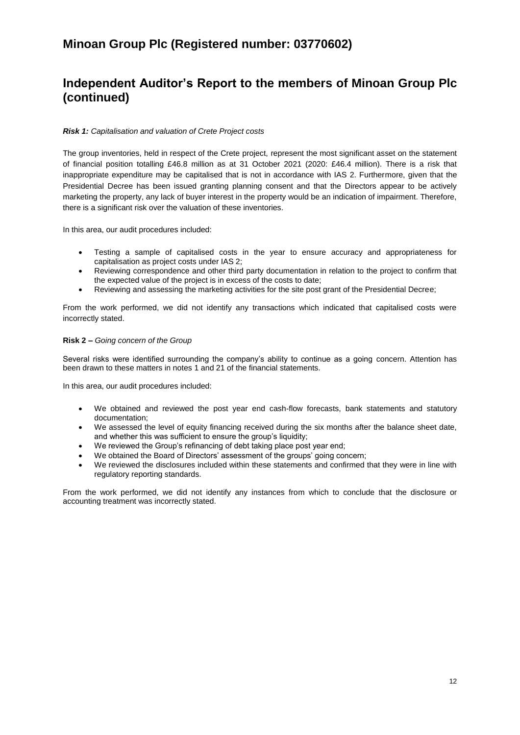## **Independent Auditor's Report to the members of Minoan Group Plc (continued)**

## *Risk 1: Capitalisation and valuation of Crete Project costs*

The group inventories, held in respect of the Crete project, represent the most significant asset on the statement of financial position totalling £46.8 million as at 31 October 2021 (2020: £46.4 million). There is a risk that inappropriate expenditure may be capitalised that is not in accordance with IAS 2. Furthermore, given that the Presidential Decree has been issued granting planning consent and that the Directors appear to be actively marketing the property, any lack of buyer interest in the property would be an indication of impairment. Therefore, there is a significant risk over the valuation of these inventories.

In this area, our audit procedures included:

- Testing a sample of capitalised costs in the year to ensure accuracy and appropriateness for capitalisation as project costs under IAS 2;
- Reviewing correspondence and other third party documentation in relation to the project to confirm that the expected value of the project is in excess of the costs to date;
- Reviewing and assessing the marketing activities for the site post grant of the Presidential Decree;

From the work performed, we did not identify any transactions which indicated that capitalised costs were incorrectly stated.

### **Risk 2 –** *Going concern of the Group*

Several risks were identified surrounding the company's ability to continue as a going concern. Attention has been drawn to these matters in notes 1 and 21 of the financial statements.

In this area, our audit procedures included:

- We obtained and reviewed the post year end cash-flow forecasts, bank statements and statutory documentation;
- We assessed the level of equity financing received during the six months after the balance sheet date, and whether this was sufficient to ensure the group's liquidity;
- We reviewed the Group's refinancing of debt taking place post year end:
- We obtained the Board of Directors' assessment of the groups' going concern;
- We reviewed the disclosures included within these statements and confirmed that they were in line with regulatory reporting standards.

From the work performed, we did not identify any instances from which to conclude that the disclosure or accounting treatment was incorrectly stated.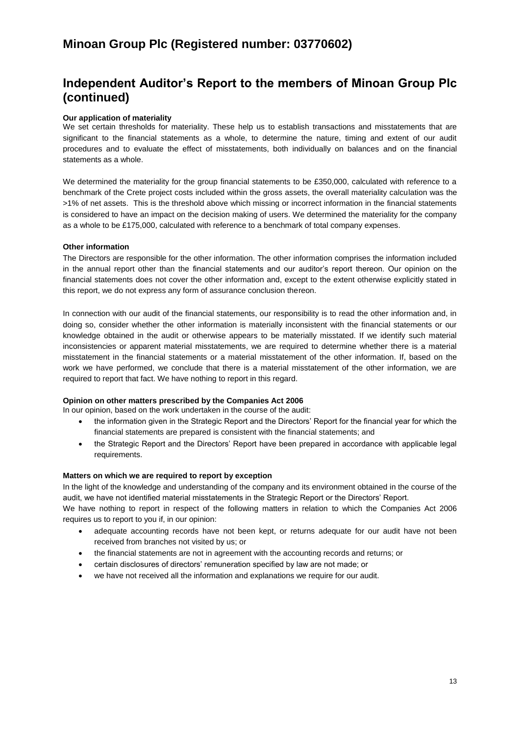# **Independent Auditor's Report to the members of Minoan Group Plc (continued)**

## **Our application of materiality**

We set certain thresholds for materiality. These help us to establish transactions and misstatements that are significant to the financial statements as a whole, to determine the nature, timing and extent of our audit procedures and to evaluate the effect of misstatements, both individually on balances and on the financial statements as a whole.

We determined the materiality for the group financial statements to be £350,000, calculated with reference to a benchmark of the Crete project costs included within the gross assets, the overall materiality calculation was the >1% of net assets. This is the threshold above which missing or incorrect information in the financial statements is considered to have an impact on the decision making of users. We determined the materiality for the company as a whole to be £175,000, calculated with reference to a benchmark of total company expenses.

### **Other information**

The Directors are responsible for the other information. The other information comprises the information included in the annual report other than the financial statements and our auditor's report thereon. Our opinion on the financial statements does not cover the other information and, except to the extent otherwise explicitly stated in this report, we do not express any form of assurance conclusion thereon.

In connection with our audit of the financial statements, our responsibility is to read the other information and, in doing so, consider whether the other information is materially inconsistent with the financial statements or our knowledge obtained in the audit or otherwise appears to be materially misstated. If we identify such material inconsistencies or apparent material misstatements, we are required to determine whether there is a material misstatement in the financial statements or a material misstatement of the other information. If, based on the work we have performed, we conclude that there is a material misstatement of the other information, we are required to report that fact. We have nothing to report in this regard.

#### **Opinion on other matters prescribed by the Companies Act 2006**

In our opinion, based on the work undertaken in the course of the audit:

- the information given in the Strategic Report and the Directors' Report for the financial year for which the financial statements are prepared is consistent with the financial statements; and
- the Strategic Report and the Directors' Report have been prepared in accordance with applicable legal requirements.

#### **Matters on which we are required to report by exception**

In the light of the knowledge and understanding of the company and its environment obtained in the course of the audit, we have not identified material misstatements in the Strategic Report or the Directors' Report.

We have nothing to report in respect of the following matters in relation to which the Companies Act 2006 requires us to report to you if, in our opinion:

- adequate accounting records have not been kept, or returns adequate for our audit have not been received from branches not visited by us; or
- the financial statements are not in agreement with the accounting records and returns; or
- certain disclosures of directors' remuneration specified by law are not made; or
- we have not received all the information and explanations we require for our audit.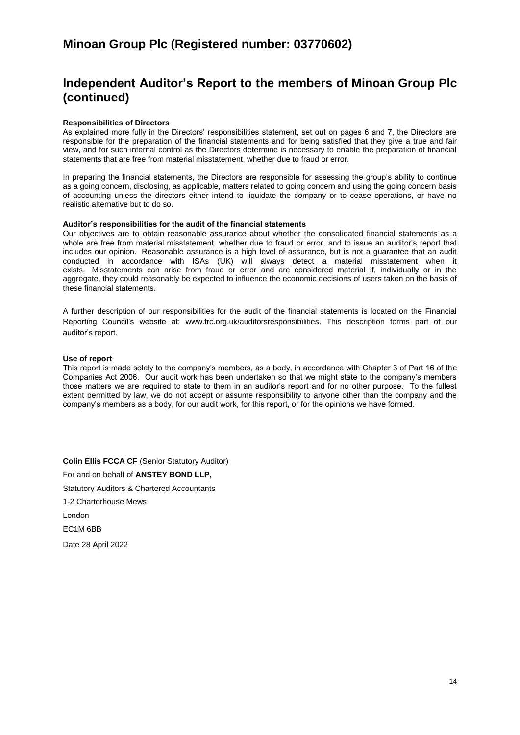# **Independent Auditor's Report to the members of Minoan Group Plc (continued)**

### **Responsibilities of Directors**

As explained more fully in the Directors' responsibilities statement, set out on pages 6 and 7, the Directors are responsible for the preparation of the financial statements and for being satisfied that they give a true and fair view, and for such internal control as the Directors determine is necessary to enable the preparation of financial statements that are free from material misstatement, whether due to fraud or error.

In preparing the financial statements, the Directors are responsible for assessing the group's ability to continue as a going concern, disclosing, as applicable, matters related to going concern and using the going concern basis of accounting unless the directors either intend to liquidate the company or to cease operations, or have no realistic alternative but to do so.

#### **Auditor's responsibilities for the audit of the financial statements**

Our objectives are to obtain reasonable assurance about whether the consolidated financial statements as a whole are free from material misstatement, whether due to fraud or error, and to issue an auditor's report that includes our opinion. Reasonable assurance is a high level of assurance, but is not a guarantee that an audit conducted in accordance with ISAs (UK) will always detect a material misstatement when it exists. Misstatements can arise from fraud or error and are considered material if, individually or in the aggregate, they could reasonably be expected to influence the economic decisions of users taken on the basis of these financial statements.

A further description of our responsibilities for the audit of the financial statements is located on the Financial Reporting Council's website at: [www.frc.org.uk/auditorsresponsibilities.](http://www.frc.org.uk/auditorsresponsibilities) This description forms part of our auditor's report.

### **Use of report**

This report is made solely to the company's members, as a body, in accordance with Chapter 3 of Part 16 of the Companies Act 2006. Our audit work has been undertaken so that we might state to the company's members those matters we are required to state to them in an auditor's report and for no other purpose. To the fullest extent permitted by law, we do not accept or assume responsibility to anyone other than the company and the company's members as a body, for our audit work, for this report, or for the opinions we have formed.

**Colin Ellis FCCA CF** (Senior Statutory Auditor) For and on behalf of **ANSTEY BOND LLP,**  Statutory Auditors & Chartered Accountants 1-2 Charterhouse Mews London EC1M 6BB Date 28 April 2022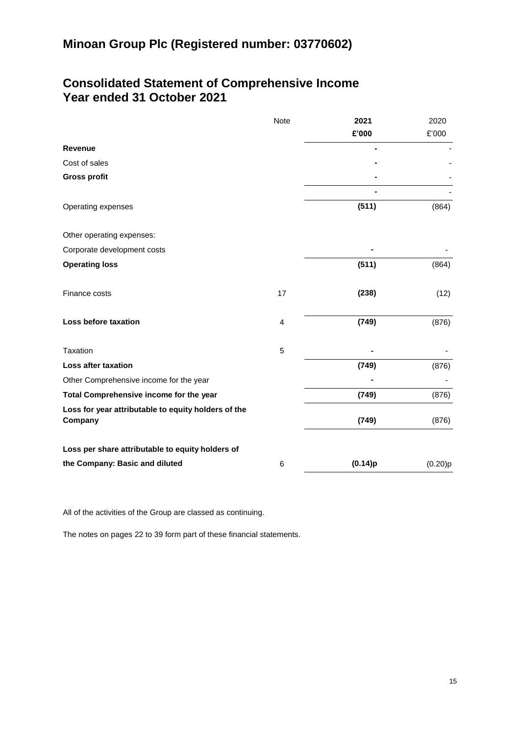## **Consolidated Statement of Comprehensive Income Year ended 31 October 2021**

|                                                                | <b>Note</b> | 2021    | 2020    |
|----------------------------------------------------------------|-------------|---------|---------|
|                                                                |             | £'000   | £'000   |
| <b>Revenue</b>                                                 |             |         |         |
| Cost of sales                                                  |             |         |         |
| <b>Gross profit</b>                                            |             |         |         |
|                                                                |             |         |         |
| Operating expenses                                             |             | (511)   | (864)   |
| Other operating expenses:                                      |             |         |         |
| Corporate development costs                                    |             |         |         |
| <b>Operating loss</b>                                          |             | (511)   | (864)   |
| Finance costs                                                  | 17          | (238)   | (12)    |
| Loss before taxation                                           | 4           | (749)   | (876)   |
| Taxation                                                       | 5           |         |         |
| Loss after taxation                                            |             | (749)   | (876)   |
| Other Comprehensive income for the year                        |             |         |         |
| Total Comprehensive income for the year                        |             | (749)   | (876)   |
| Loss for year attributable to equity holders of the<br>Company |             | (749)   | (876)   |
| Loss per share attributable to equity holders of               |             |         |         |
| the Company: Basic and diluted                                 | 6           | (0.14)p | (0.20)p |

All of the activities of the Group are classed as continuing.

The notes on pages 22 to 39 form part of these financial statements.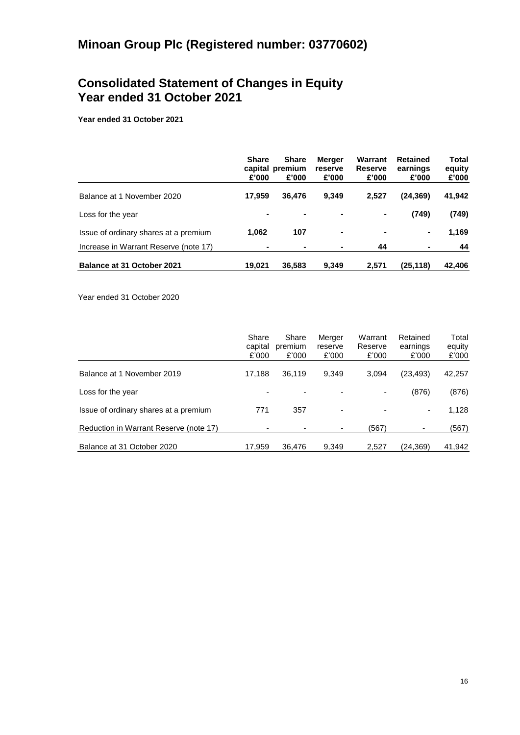## **Consolidated Statement of Changes in Equity Year ended 31 October 2021**

**Year ended 31 October 2021**

|                                       | <b>Share</b><br>£'000 | <b>Share</b><br>capital premium<br>£'000 | Merger<br>reserve<br>£'000 | Warrant<br>Reserve<br>£'000 | <b>Retained</b><br>earnings<br>£'000 | Total<br>equity<br>£'000 |
|---------------------------------------|-----------------------|------------------------------------------|----------------------------|-----------------------------|--------------------------------------|--------------------------|
| Balance at 1 November 2020            | 17.959                | 36,476                                   | 9.349                      | 2.527                       | (24,369)                             | 41,942                   |
| Loss for the year                     |                       |                                          | ۰                          | ۰                           | (749)                                | (749)                    |
| Issue of ordinary shares at a premium | 1,062                 | 107                                      | ۰                          | $\blacksquare$              | ٠.                                   | 1,169                    |
| Increase in Warrant Reserve (note 17) |                       |                                          | ۰                          | 44                          |                                      | 44                       |
| <b>Balance at 31 October 2021</b>     | 19.021                | 36.583                                   | 9.349                      | 2.571                       | (25,118)                             | 42.406                   |

Year ended 31 October 2020

|                                        | Share<br>capital<br>£'000 | Share<br>premium<br>£'000 | Merger<br>reserve<br>£'000 | Warrant<br>Reserve<br>£'000 | Retained<br>earnings<br>£'000 | Total<br>equity<br>£'000 |
|----------------------------------------|---------------------------|---------------------------|----------------------------|-----------------------------|-------------------------------|--------------------------|
| Balance at 1 November 2019             | 17.188                    | 36,119                    | 9.349                      | 3.094                       | (23,493)                      | 42,257                   |
| Loss for the year                      |                           |                           | ٠                          | ٠                           | (876)                         | (876)                    |
| Issue of ordinary shares at a premium  | 771                       | 357                       | -                          | $\overline{\phantom{a}}$    |                               | 1,128                    |
| Reduction in Warrant Reserve (note 17) | -                         |                           | ۰                          | (567)                       |                               | (567)                    |
| Balance at 31 October 2020             | 17.959                    | 36,476                    | 9,349                      | 2,527                       | (24,369)                      | 41,942                   |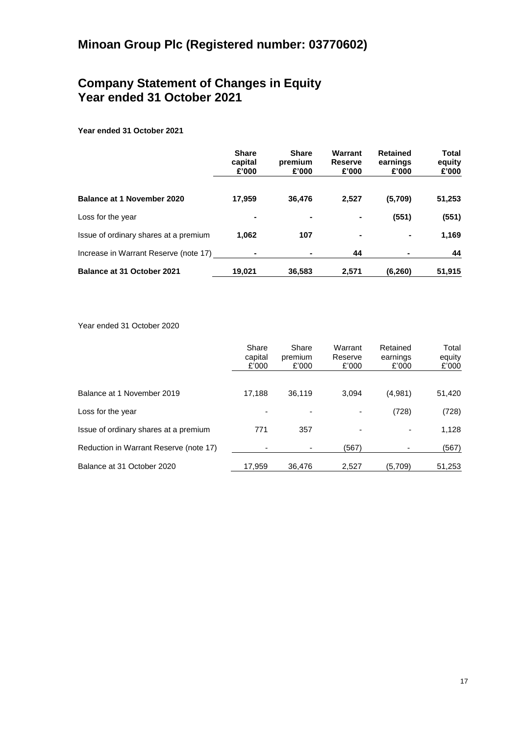## **Company Statement of Changes in Equity Year ended 31 October 2021**

## **Year ended 31 October 2021**

|                                       | <b>Share</b><br>capital<br>£'000 | <b>Share</b><br>premium<br>£'000 | Warrant<br><b>Reserve</b><br>£'000 | <b>Retained</b><br>earnings<br>£'000 | <b>Total</b><br>equity<br>£'000 |
|---------------------------------------|----------------------------------|----------------------------------|------------------------------------|--------------------------------------|---------------------------------|
| <b>Balance at 1 November 2020</b>     | 17,959                           | 36.476                           | 2,527                              | (5,709)                              | 51,253                          |
| Loss for the year                     | ۰                                |                                  |                                    | (551)                                | (551)                           |
| Issue of ordinary shares at a premium | 1,062                            | 107                              |                                    | $\blacksquare$                       | 1,169                           |
| Increase in Warrant Reserve (note 17) |                                  |                                  | 44                                 |                                      | 44                              |
| Balance at 31 October 2021            | 19.021                           | 36,583                           | 2,571                              | (6, 260)                             | 51,915                          |

Year ended 31 October 2020

|                                        | Share<br>capital<br>£'000 | Share<br>premium<br>£'000 | Warrant<br>Reserve<br>£'000 | Retained<br>earnings<br>£'000 | Total<br>equity<br>£'000 |
|----------------------------------------|---------------------------|---------------------------|-----------------------------|-------------------------------|--------------------------|
| Balance at 1 November 2019             | 17,188                    | 36,119                    | 3.094                       | (4,981)                       | 51,420                   |
| Loss for the year                      |                           |                           |                             | (728)                         | (728)                    |
| Issue of ordinary shares at a premium  | 771                       | 357                       |                             |                               | 1,128                    |
| Reduction in Warrant Reserve (note 17) |                           |                           | (567)                       | ٠                             | (567)                    |
| Balance at 31 October 2020             | 17,959                    | 36.476                    | 2,527                       | (5,709)                       | 51,253                   |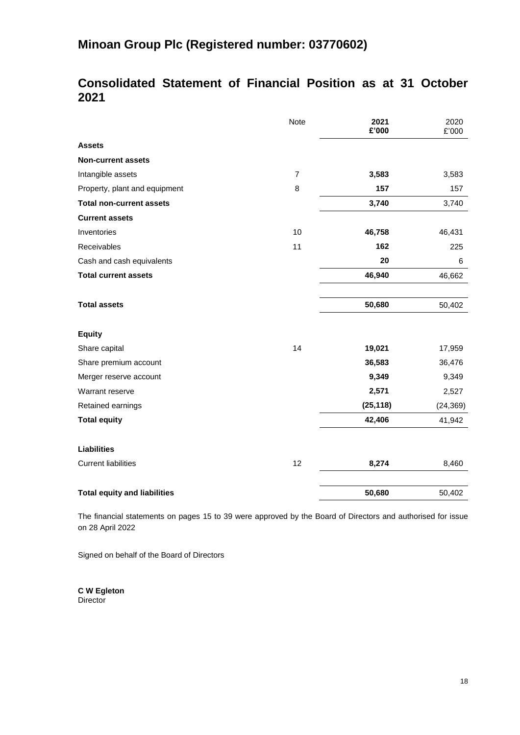# **Consolidated Statement of Financial Position as at 31 October 2021**

|                                     | Note           | 2021<br>£'000 | 2020<br>£'000 |
|-------------------------------------|----------------|---------------|---------------|
| <b>Assets</b>                       |                |               |               |
| <b>Non-current assets</b>           |                |               |               |
| Intangible assets                   | $\overline{7}$ | 3,583         | 3,583         |
| Property, plant and equipment       | 8              | 157           | 157           |
| <b>Total non-current assets</b>     |                | 3,740         | 3,740         |
| <b>Current assets</b>               |                |               |               |
| Inventories                         | 10             | 46,758        | 46,431        |
| Receivables                         | 11             | 162           | 225           |
| Cash and cash equivalents           |                | 20            | 6             |
| <b>Total current assets</b>         |                | 46,940        | 46,662        |
| <b>Total assets</b>                 |                | 50,680        | 50,402        |
| <b>Equity</b>                       |                |               |               |
| Share capital                       | 14             | 19,021        | 17,959        |
| Share premium account               |                | 36,583        | 36,476        |
| Merger reserve account              |                | 9,349         | 9,349         |
| Warrant reserve                     |                | 2,571         | 2,527         |
| Retained earnings                   |                | (25, 118)     | (24, 369)     |
| <b>Total equity</b>                 |                | 42,406        | 41,942        |
| <b>Liabilities</b>                  |                |               |               |
| <b>Current liabilities</b>          | 12             | 8,274         | 8,460         |
| <b>Total equity and liabilities</b> |                | 50,680        | 50,402        |

The financial statements on pages 15 to 39 were approved by the Board of Directors and authorised for issue on 28 April 2022

Signed on behalf of the Board of Directors

**C W Egleton Director**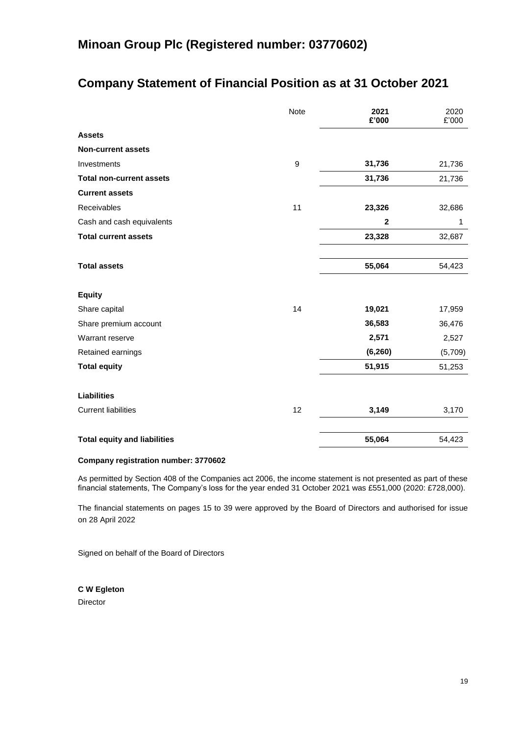# **Company Statement of Financial Position as at 31 October 2021**

|                                     | Note | 2021<br>£'000 | 2020<br>£'000 |
|-------------------------------------|------|---------------|---------------|
| <b>Assets</b>                       |      |               |               |
| <b>Non-current assets</b>           |      |               |               |
| Investments                         | 9    | 31,736        | 21,736        |
| <b>Total non-current assets</b>     |      | 31,736        | 21,736        |
| <b>Current assets</b>               |      |               |               |
| Receivables                         | 11   | 23,326        | 32,686        |
| Cash and cash equivalents           |      | $\mathbf 2$   | 1             |
| <b>Total current assets</b>         |      | 23,328        | 32,687        |
|                                     |      |               |               |
| <b>Total assets</b>                 |      | 55,064        | 54,423        |
| <b>Equity</b>                       |      |               |               |
| Share capital                       | 14   | 19,021        | 17,959        |
| Share premium account               |      | 36,583        | 36,476        |
| Warrant reserve                     |      | 2,571         | 2,527         |
| Retained earnings                   |      | (6, 260)      | (5,709)       |
| <b>Total equity</b>                 |      | 51,915        | 51,253        |
| <b>Liabilities</b>                  |      |               |               |
| <b>Current liabilities</b>          | 12   | 3,149         | 3,170         |
|                                     |      |               |               |
| <b>Total equity and liabilities</b> |      | 55,064        | 54,423        |

## **Company registration number: 3770602**

As permitted by Section 408 of the Companies act 2006, the income statement is not presented as part of these financial statements, The Company's loss for the year ended 31 October 2021 was £551,000 (2020: £728,000).

The financial statements on pages 15 to 39 were approved by the Board of Directors and authorised for issue on 28 April 2022

Signed on behalf of the Board of Directors

**C W Egleton** Director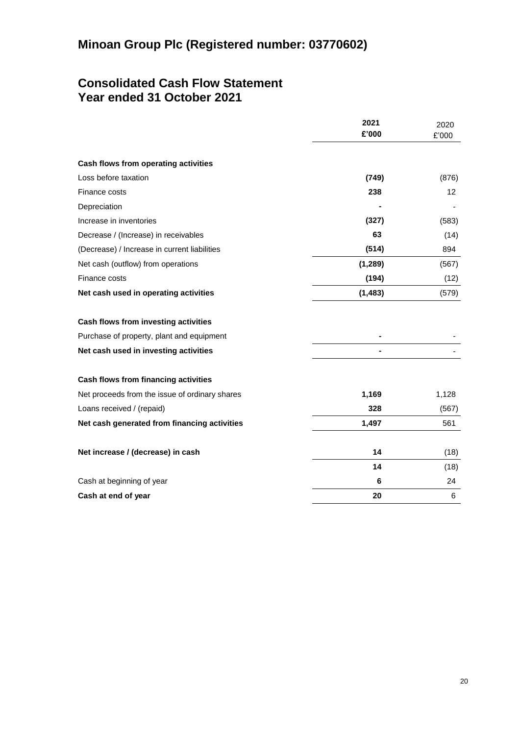# **Consolidated Cash Flow Statement Year ended 31 October 2021**

|                                                | 2021     | 2020  |
|------------------------------------------------|----------|-------|
|                                                | £'000    | £'000 |
| Cash flows from operating activities           |          |       |
| Loss before taxation                           | (749)    | (876) |
| Finance costs                                  | 238      | 12    |
| Depreciation                                   |          |       |
| Increase in inventories                        | (327)    | (583) |
| Decrease / (Increase) in receivables           | 63       | (14)  |
| (Decrease) / Increase in current liabilities   | (514)    | 894   |
| Net cash (outflow) from operations             | (1, 289) | (567) |
| Finance costs                                  | (194)    | (12)  |
| Net cash used in operating activities          | (1, 483) | (579) |
| Cash flows from investing activities           |          |       |
| Purchase of property, plant and equipment      |          |       |
| Net cash used in investing activities          |          |       |
| Cash flows from financing activities           |          |       |
| Net proceeds from the issue of ordinary shares | 1,169    | 1,128 |
| Loans received / (repaid)                      | 328      | (567) |
| Net cash generated from financing activities   | 1,497    | 561   |
| Net increase / (decrease) in cash              | 14       | (18)  |
|                                                | 14       | (18)  |
| Cash at beginning of year                      | 6        | 24    |
| Cash at end of year                            | 20       | 6     |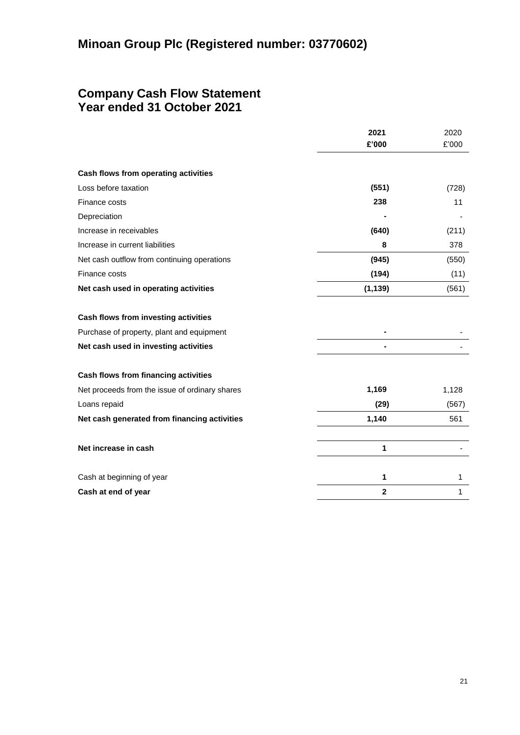## **Company Cash Flow Statement Year ended 31 October 2021**

|                                                | 2021         | 2020  |
|------------------------------------------------|--------------|-------|
|                                                | £'000        | £'000 |
| Cash flows from operating activities           |              |       |
| Loss before taxation                           | (551)        | (728) |
| Finance costs                                  | 238          | 11    |
| Depreciation                                   |              |       |
| Increase in receivables                        | (640)        | (211) |
| Increase in current liabilities                | 8            | 378   |
| Net cash outflow from continuing operations    | (945)        | (550) |
| Finance costs                                  | (194)        | (11)  |
| Net cash used in operating activities          | (1, 139)     | (561) |
| Cash flows from investing activities           |              |       |
| Purchase of property, plant and equipment      |              |       |
| Net cash used in investing activities          |              |       |
| Cash flows from financing activities           |              |       |
| Net proceeds from the issue of ordinary shares | 1,169        | 1,128 |
| Loans repaid                                   | (29)         | (567) |
| Net cash generated from financing activities   | 1,140        | 561   |
| Net increase in cash                           | 1            |       |
| Cash at beginning of year                      | 1            | 1     |
| Cash at end of year                            | $\mathbf{2}$ | 1     |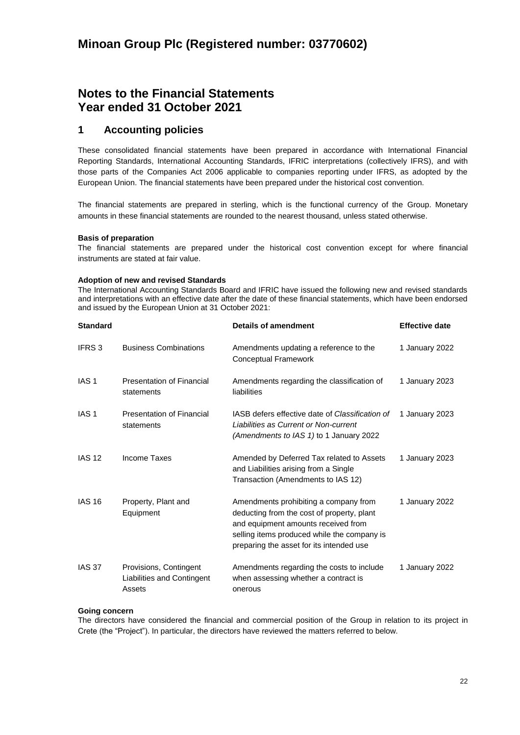## **Notes to the Financial Statements Year ended 31 October 2021**

## **1 Accounting policies**

These consolidated financial statements have been prepared in accordance with International Financial Reporting Standards, International Accounting Standards, IFRIC interpretations (collectively IFRS), and with those parts of the Companies Act 2006 applicable to companies reporting under IFRS, as adopted by the European Union. The financial statements have been prepared under the historical cost convention.

The financial statements are prepared in sterling, which is the functional currency of the Group. Monetary amounts in these financial statements are rounded to the nearest thousand, unless stated otherwise.

### **Basis of preparation**

The financial statements are prepared under the historical cost convention except for where financial instruments are stated at fair value.

#### **Adoption of new and revised Standards**

The International Accounting Standards Board and IFRIC have issued the following new and revised standards and interpretations with an effective date after the date of these financial statements, which have been endorsed and issued by the European Union at 31 October 2021:

| <b>Standard</b>  |                                                                | <b>Details of amendment</b>                                                                                                                                                                                           | <b>Effective date</b> |
|------------------|----------------------------------------------------------------|-----------------------------------------------------------------------------------------------------------------------------------------------------------------------------------------------------------------------|-----------------------|
| IFRS 3           | <b>Business Combinations</b>                                   | Amendments updating a reference to the<br>Conceptual Framework                                                                                                                                                        | 1 January 2022        |
| IAS <sub>1</sub> | <b>Presentation of Financial</b><br>statements                 | Amendments regarding the classification of<br>liabilities                                                                                                                                                             | 1 January 2023        |
| IAS <sub>1</sub> | <b>Presentation of Financial</b><br>statements                 | IASB defers effective date of Classification of<br>Liabilities as Current or Non-current<br>(Amendments to IAS 1) to 1 January 2022                                                                                   | 1 January 2023        |
| <b>IAS 12</b>    | Income Taxes                                                   | Amended by Deferred Tax related to Assets<br>and Liabilities arising from a Single<br>Transaction (Amendments to IAS 12)                                                                                              | 1 January 2023        |
| <b>IAS 16</b>    | Property, Plant and<br>Equipment                               | Amendments prohibiting a company from<br>deducting from the cost of property, plant<br>and equipment amounts received from<br>selling items produced while the company is<br>preparing the asset for its intended use | 1 January 2022        |
| IAS 37           | Provisions, Contingent<br>Liabilities and Contingent<br>Assets | Amendments regarding the costs to include<br>when assessing whether a contract is<br>onerous                                                                                                                          | 1 January 2022        |

## **Going concern**

The directors have considered the financial and commercial position of the Group in relation to its project in Crete (the "Project"). In particular, the directors have reviewed the matters referred to below.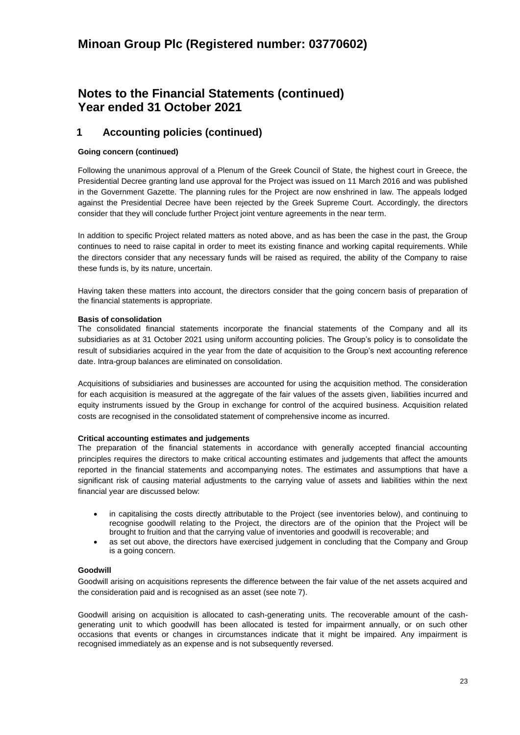## **Notes to the Financial Statements (continued) Year ended 31 October 2021**

## **1 Accounting policies (continued)**

## **Going concern (continued)**

Following the unanimous approval of a Plenum of the Greek Council of State, the highest court in Greece, the Presidential Decree granting land use approval for the Project was issued on 11 March 2016 and was published in the Government Gazette. The planning rules for the Project are now enshrined in law. The appeals lodged against the Presidential Decree have been rejected by the Greek Supreme Court. Accordingly, the directors consider that they will conclude further Project joint venture agreements in the near term.

In addition to specific Project related matters as noted above, and as has been the case in the past, the Group continues to need to raise capital in order to meet its existing finance and working capital requirements. While the directors consider that any necessary funds will be raised as required, the ability of the Company to raise these funds is, by its nature, uncertain.

Having taken these matters into account, the directors consider that the going concern basis of preparation of the financial statements is appropriate.

### **Basis of consolidation**

The consolidated financial statements incorporate the financial statements of the Company and all its subsidiaries as at 31 October 2021 using uniform accounting policies. The Group's policy is to consolidate the result of subsidiaries acquired in the year from the date of acquisition to the Group's next accounting reference date. Intra-group balances are eliminated on consolidation.

Acquisitions of subsidiaries and businesses are accounted for using the acquisition method. The consideration for each acquisition is measured at the aggregate of the fair values of the assets given, liabilities incurred and equity instruments issued by the Group in exchange for control of the acquired business. Acquisition related costs are recognised in the consolidated statement of comprehensive income as incurred.

## **Critical accounting estimates and judgements**

The preparation of the financial statements in accordance with generally accepted financial accounting principles requires the directors to make critical accounting estimates and judgements that affect the amounts reported in the financial statements and accompanying notes. The estimates and assumptions that have a significant risk of causing material adjustments to the carrying value of assets and liabilities within the next financial year are discussed below:

- in capitalising the costs directly attributable to the Project (see inventories below), and continuing to recognise goodwill relating to the Project, the directors are of the opinion that the Project will be brought to fruition and that the carrying value of inventories and goodwill is recoverable; and
- as set out above, the directors have exercised judgement in concluding that the Company and Group is a going concern.

## **Goodwill**

Goodwill arising on acquisitions represents the difference between the fair value of the net assets acquired and the consideration paid and is recognised as an asset (see note 7).

Goodwill arising on acquisition is allocated to cash-generating units. The recoverable amount of the cashgenerating unit to which goodwill has been allocated is tested for impairment annually, or on such other occasions that events or changes in circumstances indicate that it might be impaired. Any impairment is recognised immediately as an expense and is not subsequently reversed.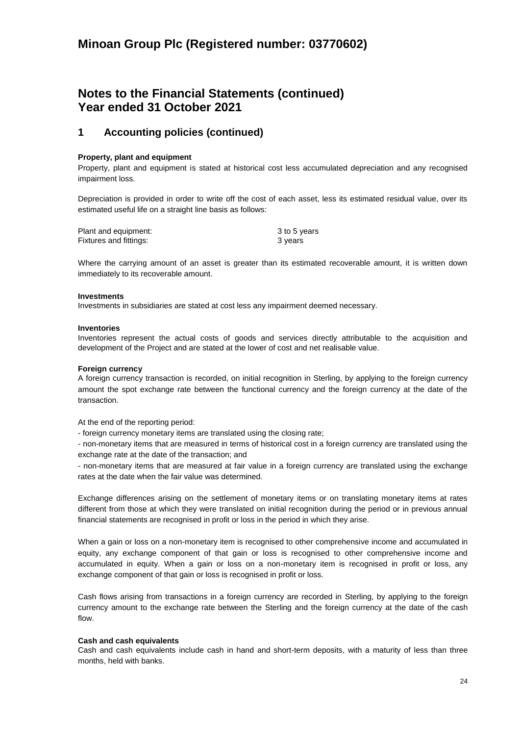## **Notes to the Financial Statements (continued) Year ended 31 October 2021**

## **1 Accounting policies (continued)**

### **Property, plant and equipment**

Property, plant and equipment is stated at historical cost less accumulated depreciation and any recognised impairment loss.

Depreciation is provided in order to write off the cost of each asset, less its estimated residual value, over its estimated useful life on a straight line basis as follows:

| Plant and equipment:   | 3 to 5 years |
|------------------------|--------------|
| Fixtures and fittings: | 3 years      |

Where the carrying amount of an asset is greater than its estimated recoverable amount, it is written down immediately to its recoverable amount.

#### **Investments**

Investments in subsidiaries are stated at cost less any impairment deemed necessary.

#### **Inventories**

Inventories represent the actual costs of goods and services directly attributable to the acquisition and development of the Project and are stated at the lower of cost and net realisable value.

#### **Foreign currency**

A foreign currency transaction is recorded, on initial recognition in Sterling, by applying to the foreign currency amount the spot exchange rate between the functional currency and the foreign currency at the date of the transaction.

At the end of the reporting period:

- foreign currency monetary items are translated using the closing rate;

- non-monetary items that are measured in terms of historical cost in a foreign currency are translated using the exchange rate at the date of the transaction; and

- non-monetary items that are measured at fair value in a foreign currency are translated using the exchange rates at the date when the fair value was determined.

Exchange differences arising on the settlement of monetary items or on translating monetary items at rates different from those at which they were translated on initial recognition during the period or in previous annual financial statements are recognised in profit or loss in the period in which they arise.

When a gain or loss on a non-monetary item is recognised to other comprehensive income and accumulated in equity, any exchange component of that gain or loss is recognised to other comprehensive income and accumulated in equity. When a gain or loss on a non-monetary item is recognised in profit or loss, any exchange component of that gain or loss is recognised in profit or loss.

Cash flows arising from transactions in a foreign currency are recorded in Sterling, by applying to the foreign currency amount to the exchange rate between the Sterling and the foreign currency at the date of the cash flow.

#### **Cash and cash equivalents**

Cash and cash equivalents include cash in hand and short-term deposits, with a maturity of less than three months, held with banks.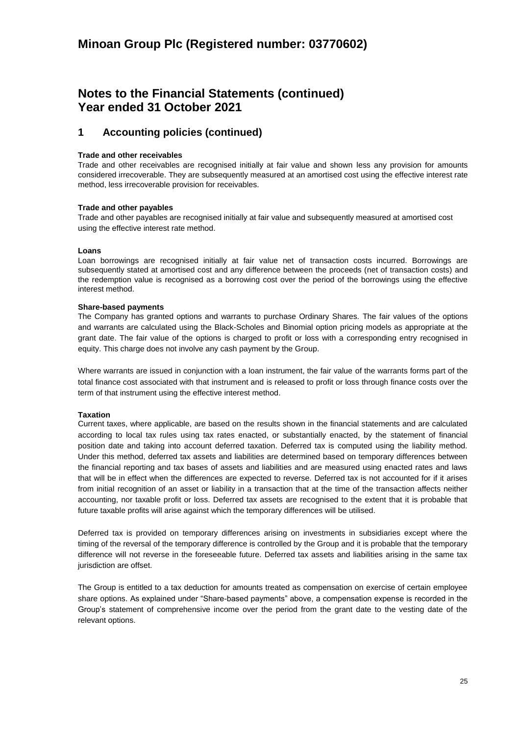## **Notes to the Financial Statements (continued) Year ended 31 October 2021**

## **1 Accounting policies (continued)**

### **Trade and other receivables**

Trade and other receivables are recognised initially at fair value and shown less any provision for amounts considered irrecoverable. They are subsequently measured at an amortised cost using the effective interest rate method, less irrecoverable provision for receivables.

### **Trade and other payables**

Trade and other payables are recognised initially at fair value and subsequently measured at amortised cost using the effective interest rate method.

#### **Loans**

Loan borrowings are recognised initially at fair value net of transaction costs incurred. Borrowings are subsequently stated at amortised cost and any difference between the proceeds (net of transaction costs) and the redemption value is recognised as a borrowing cost over the period of the borrowings using the effective interest method.

### **Share-based payments**

The Company has granted options and warrants to purchase Ordinary Shares. The fair values of the options and warrants are calculated using the Black-Scholes and Binomial option pricing models as appropriate at the grant date. The fair value of the options is charged to profit or loss with a corresponding entry recognised in equity. This charge does not involve any cash payment by the Group.

Where warrants are issued in conjunction with a loan instrument, the fair value of the warrants forms part of the total finance cost associated with that instrument and is released to profit or loss through finance costs over the term of that instrument using the effective interest method.

## **Taxation**

Current taxes, where applicable, are based on the results shown in the financial statements and are calculated according to local tax rules using tax rates enacted, or substantially enacted, by the statement of financial position date and taking into account deferred taxation. Deferred tax is computed using the liability method. Under this method, deferred tax assets and liabilities are determined based on temporary differences between the financial reporting and tax bases of assets and liabilities and are measured using enacted rates and laws that will be in effect when the differences are expected to reverse. Deferred tax is not accounted for if it arises from initial recognition of an asset or liability in a transaction that at the time of the transaction affects neither accounting, nor taxable profit or loss. Deferred tax assets are recognised to the extent that it is probable that future taxable profits will arise against which the temporary differences will be utilised.

Deferred tax is provided on temporary differences arising on investments in subsidiaries except where the timing of the reversal of the temporary difference is controlled by the Group and it is probable that the temporary difference will not reverse in the foreseeable future. Deferred tax assets and liabilities arising in the same tax jurisdiction are offset.

The Group is entitled to a tax deduction for amounts treated as compensation on exercise of certain employee share options. As explained under "Share-based payments" above, a compensation expense is recorded in the Group's statement of comprehensive income over the period from the grant date to the vesting date of the relevant options.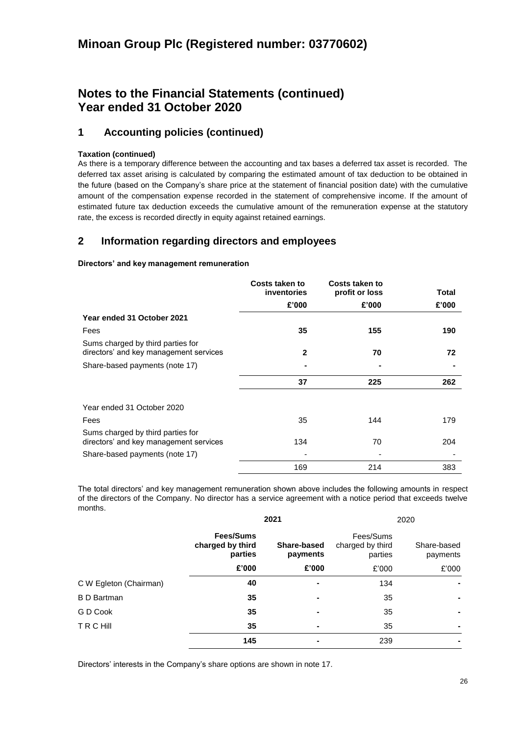# **Notes to the Financial Statements (continued) Year ended 31 October 2020**

## **1 Accounting policies (continued)**

## **Taxation (continued)**

As there is a temporary difference between the accounting and tax bases a deferred tax asset is recorded. The deferred tax asset arising is calculated by comparing the estimated amount of tax deduction to be obtained in the future (based on the Company's share price at the statement of financial position date) with the cumulative amount of the compensation expense recorded in the statement of comprehensive income. If the amount of estimated future tax deduction exceeds the cumulative amount of the remuneration expense at the statutory rate, the excess is recorded directly in equity against retained earnings.

## **2 Information regarding directors and employees**

## **Directors' and key management remuneration**

|                                                                             | Costs taken to<br>inventories | Costs taken to<br>profit or loss | Total |
|-----------------------------------------------------------------------------|-------------------------------|----------------------------------|-------|
|                                                                             | £'000                         | £'000                            | £'000 |
| Year ended 31 October 2021                                                  |                               |                                  |       |
| Fees                                                                        | 35                            | 155                              | 190   |
| Sums charged by third parties for<br>directors' and key management services | $\mathbf{2}$                  | 70                               | 72    |
| Share-based payments (note 17)                                              |                               |                                  |       |
|                                                                             | 37                            | 225                              | 262   |
| Year ended 31 October 2020                                                  |                               |                                  |       |
| Fees                                                                        | 35                            | 144                              | 179   |
| Sums charged by third parties for<br>directors' and key management services | 134                           | 70                               | 204   |
| Share-based payments (note 17)                                              |                               |                                  |       |
|                                                                             | 169                           | 214                              | 383   |

The total directors' and key management remuneration shown above includes the following amounts in respect of the directors of the Company. No director has a service agreement with a notice period that exceeds twelve months.

|                        |                                          | 2021                    |                                          | 2020                    |
|------------------------|------------------------------------------|-------------------------|------------------------------------------|-------------------------|
|                        | Fees/Sums<br>charged by third<br>parties | Share-based<br>payments | Fees/Sums<br>charged by third<br>parties | Share-based<br>payments |
|                        | £'000                                    | £'000                   | £'000                                    | £'000                   |
| C W Egleton (Chairman) | 40                                       | ۰                       | 134                                      |                         |
| <b>B</b> D Bartman     | 35                                       | ۰                       | 35                                       |                         |
| G D Cook               | 35                                       | $\blacksquare$          | 35                                       |                         |
| <b>TRCHII</b>          | 35                                       | $\blacksquare$          | 35                                       |                         |
|                        | 145                                      |                         | 239                                      |                         |

Directors' interests in the Company's share options are shown in note 17.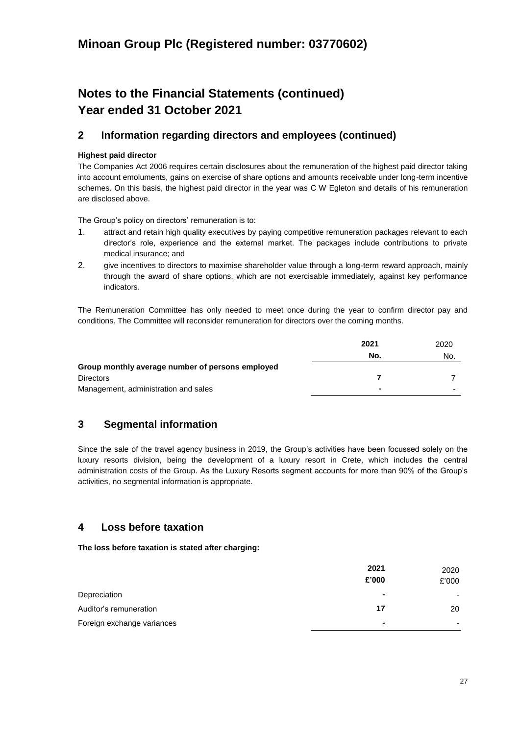# **Notes to the Financial Statements (continued) Year ended 31 October 2021**

## **2 Information regarding directors and employees (continued)**

## **Highest paid director**

The Companies Act 2006 requires certain disclosures about the remuneration of the highest paid director taking into account emoluments, gains on exercise of share options and amounts receivable under long-term incentive schemes. On this basis, the highest paid director in the year was C W Egleton and details of his remuneration are disclosed above.

The Group's policy on directors' remuneration is to:

- 1. attract and retain high quality executives by paying competitive remuneration packages relevant to each director's role, experience and the external market. The packages include contributions to private medical insurance; and
- 2. give incentives to directors to maximise shareholder value through a long-term reward approach, mainly through the award of share options, which are not exercisable immediately, against key performance indicators.

The Remuneration Committee has only needed to meet once during the year to confirm director pay and conditions. The Committee will reconsider remuneration for directors over the coming months.

|                                                  | 2021 | 2020 |
|--------------------------------------------------|------|------|
|                                                  | No.  | No.  |
| Group monthly average number of persons employed |      |      |
| <b>Directors</b>                                 |      |      |
| Management, administration and sales             |      |      |

## **3 Segmental information**

Since the sale of the travel agency business in 2019, the Group's activities have been focussed solely on the luxury resorts division, being the development of a luxury resort in Crete, which includes the central administration costs of the Group. As the Luxury Resorts segment accounts for more than 90% of the Group's activities, no segmental information is appropriate.

## **4 Loss before taxation**

**The loss before taxation is stated after charging:**

|                            | 2021<br>£'000 | 2020<br>£'000 |
|----------------------------|---------------|---------------|
| Depreciation               | ۰             |               |
| Auditor's remuneration     | 17            | 20            |
| Foreign exchange variances |               |               |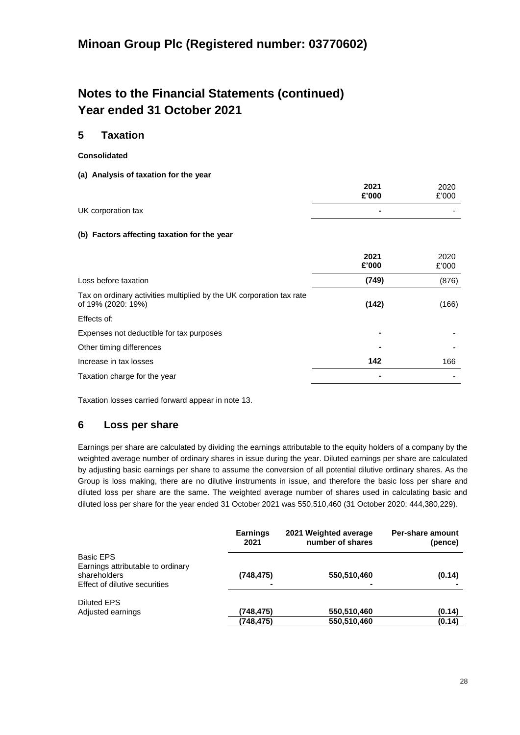# **Notes to the Financial Statements (continued) Year ended 31 October 2021**

## **5 Taxation**

- **Consolidated**
- **(a) Analysis of taxation for the year**

|                    | 2021<br>£'000 | 2020<br>£'000 |
|--------------------|---------------|---------------|
| UK corporation tax |               | -             |

## **(b) Factors affecting taxation for the year**

|                                                                                            | 2021<br>£'000 | 2020<br>£'000 |
|--------------------------------------------------------------------------------------------|---------------|---------------|
| Loss before taxation                                                                       | (749)         | (876)         |
| Tax on ordinary activities multiplied by the UK corporation tax rate<br>of 19% (2020: 19%) | (142)         | (166)         |
| Effects of:                                                                                |               |               |
| Expenses not deductible for tax purposes                                                   |               |               |
| Other timing differences                                                                   |               |               |
| Increase in tax losses                                                                     | 142           | 166           |
| Taxation charge for the year                                                               |               |               |

Taxation losses carried forward appear in note 13.

## **6 Loss per share**

Earnings per share are calculated by dividing the earnings attributable to the equity holders of a company by the weighted average number of ordinary shares in issue during the year. Diluted earnings per share are calculated by adjusting basic earnings per share to assume the conversion of all potential dilutive ordinary shares. As the Group is loss making, there are no dilutive instruments in issue, and therefore the basic loss per share and diluted loss per share are the same. The weighted average number of shares used in calculating basic and diluted loss per share for the year ended 31 October 2021 was 550,510,460 (31 October 2020: 444,380,229).

|                                                   | <b>Earnings</b><br>2021 | 2021 Weighted average<br>number of shares | Per-share amount<br>(pence) |
|---------------------------------------------------|-------------------------|-------------------------------------------|-----------------------------|
| <b>Basic EPS</b>                                  |                         |                                           |                             |
| Earnings attributable to ordinary<br>shareholders | (748, 475)              | 550,510,460                               | (0.14)                      |
| Effect of dilutive securities                     |                         |                                           |                             |
| <b>Diluted EPS</b>                                |                         |                                           |                             |
| Adjusted earnings                                 | (748, 475)              | 550,510,460                               | (0.14)                      |
|                                                   | (748, 475)              | 550,510,460                               | (0.14)                      |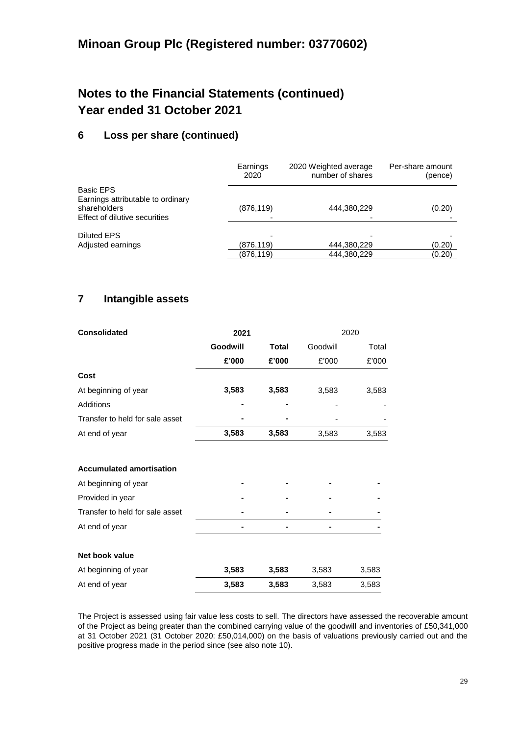# **Notes to the Financial Statements (continued) Year ended 31 October 2021**

## **6 Loss per share (continued)**

|                                                                                    | Earnings<br>2020 | 2020 Weighted average<br>number of shares | Per-share amount<br>(pence) |
|------------------------------------------------------------------------------------|------------------|-------------------------------------------|-----------------------------|
| Basic EPS                                                                          |                  |                                           |                             |
| Earnings attributable to ordinary<br>shareholders<br>Effect of dilutive securities | (876, 119)       | 444,380,229                               | (0.20)                      |
| <b>Diluted EPS</b>                                                                 |                  |                                           |                             |
| Adjusted earnings                                                                  | (876, 119)       | 444,380,229                               | (0.20)                      |
|                                                                                    | (876, 119)       | 444,380,229                               | (0.20)                      |

## **7 Intangible assets**

| <b>Consolidated</b>             | 2021     |              | 2020     |       |
|---------------------------------|----------|--------------|----------|-------|
|                                 | Goodwill | <b>Total</b> | Goodwill | Total |
|                                 | £'000    | £'000        | £'000    | £'000 |
| Cost                            |          |              |          |       |
| At beginning of year            | 3,583    | 3,583        | 3,583    | 3,583 |
| Additions                       |          |              |          |       |
| Transfer to held for sale asset |          |              |          |       |
| At end of year                  | 3,583    | 3,583        | 3,583    | 3,583 |
|                                 |          |              |          |       |
| <b>Accumulated amortisation</b> |          |              |          |       |
| At beginning of year            |          |              |          |       |
| Provided in year                |          |              |          |       |
| Transfer to held for sale asset |          |              |          |       |
| At end of year                  |          |              |          |       |
| Net book value                  |          |              |          |       |
| At beginning of year            | 3,583    | 3,583        | 3,583    | 3,583 |
| At end of year                  | 3,583    | 3,583        | 3,583    | 3,583 |

The Project is assessed using fair value less costs to sell. The directors have assessed the recoverable amount of the Project as being greater than the combined carrying value of the goodwill and inventories of £50,341,000 at 31 October 2021 (31 October 2020: £50,014,000) on the basis of valuations previously carried out and the positive progress made in the period since (see also note 10).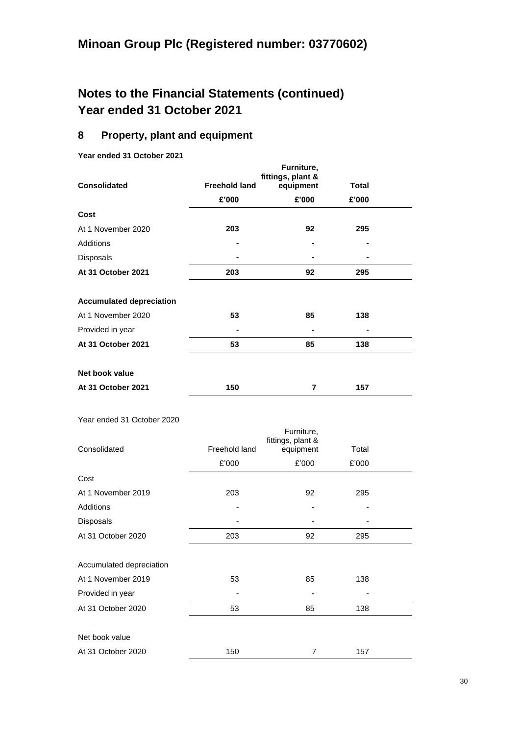# **Notes to the Financial Statements (continued) Year ended 31 October 2021**

## **8 Property, plant and equipment**

**Year ended 31 October 2021** 

| <b>Consolidated</b>             | <b>Freehold land</b> | Furniture,<br>fittings, plant &<br>equipment | Total |  |
|---------------------------------|----------------------|----------------------------------------------|-------|--|
|                                 | £'000                | £'000                                        | £'000 |  |
| Cost                            |                      |                                              |       |  |
| At 1 November 2020              | 203                  | 92                                           | 295   |  |
| Additions                       |                      |                                              |       |  |
| Disposals                       |                      |                                              |       |  |
| At 31 October 2021              | 203                  | 92                                           | 295   |  |
| <b>Accumulated depreciation</b> |                      |                                              |       |  |
| At 1 November 2020              | 53                   | 85                                           | 138   |  |
| Provided in year                |                      |                                              |       |  |
| At 31 October 2021              | 53                   | 85                                           | 138   |  |
| Net book value                  |                      |                                              |       |  |
| At 31 October 2021              | 150                  | 7                                            | 157   |  |

Year ended 31 October 2020

| Consolidated             | Freehold land | Furniture,<br>fittings, plant &<br>equipment | Total |  |
|--------------------------|---------------|----------------------------------------------|-------|--|
|                          | £'000         | £'000                                        | £'000 |  |
| Cost                     |               |                                              |       |  |
| At 1 November 2019       | 203           | 92                                           | 295   |  |
| Additions                |               | ٠                                            |       |  |
| Disposals                |               |                                              |       |  |
| At 31 October 2020       | 203           | 92                                           | 295   |  |
|                          |               |                                              |       |  |
| Accumulated depreciation |               |                                              |       |  |
| At 1 November 2019       | 53            | 85                                           | 138   |  |
| Provided in year         |               |                                              |       |  |
| At 31 October 2020       | 53            | 85                                           | 138   |  |
|                          |               |                                              |       |  |
| Net book value           |               |                                              |       |  |
| At 31 October 2020       | 150           | 7                                            | 157   |  |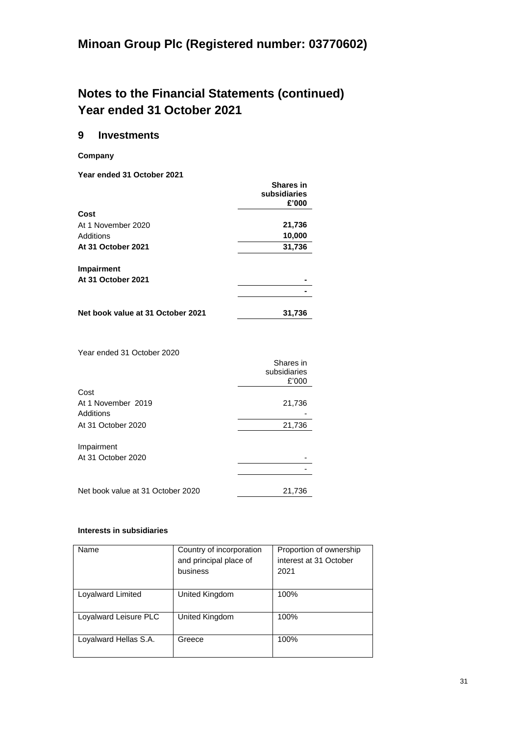# **Notes to the Financial Statements (continued) Year ended 31 October 2021**

## **9 Investments**

**Company**

**Year ended 31 October 2021**

|                                   | <b>Shares in</b><br>subsidiaries |
|-----------------------------------|----------------------------------|
| Cost                              | £'000                            |
| At 1 November 2020                | 21,736                           |
| Additions                         | 10,000                           |
| At 31 October 2021                | 31,736                           |
| <b>Impairment</b>                 |                                  |
| At 31 October 2021                |                                  |
|                                   |                                  |
| Net book value at 31 October 2021 | 31,736                           |

Year ended 31 October 2020

|                                   | Shares in<br>subsidiaries<br>£'000 |
|-----------------------------------|------------------------------------|
| Cost                              |                                    |
| At 1 November 2019                | 21,736                             |
| Additions                         |                                    |
| At 31 October 2020                | 21,736                             |
| Impairment                        |                                    |
| At 31 October 2020                |                                    |
|                                   |                                    |
| Net book value at 31 October 2020 | 21,736                             |

## **Interests in subsidiaries**

| Name                  | Country of incorporation<br>and principal place of<br>business | Proportion of ownership<br>interest at 31 October<br>2021 |
|-----------------------|----------------------------------------------------------------|-----------------------------------------------------------|
| Loyalward Limited     | United Kingdom                                                 | 100%                                                      |
| Loyalward Leisure PLC | United Kingdom                                                 | 100%                                                      |
| Loyalward Hellas S.A. | Greece                                                         | 100%                                                      |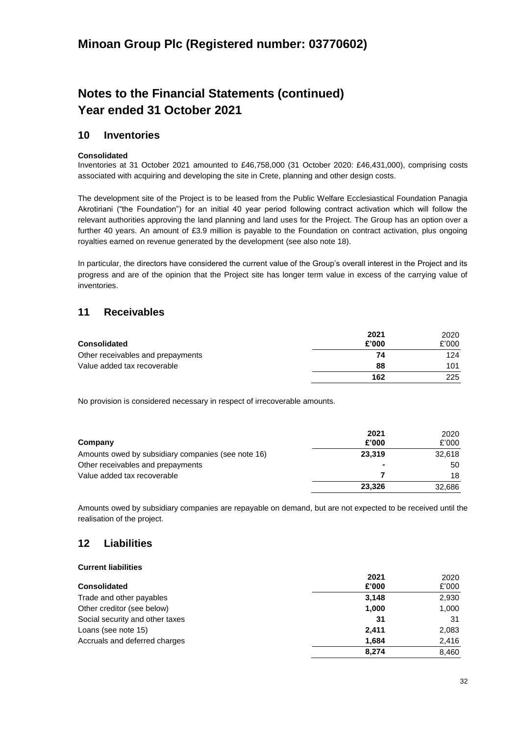# **Notes to the Financial Statements (continued) Year ended 31 October 2021**

## **10 Inventories**

## **Consolidated**

Inventories at 31 October 2021 amounted to £46,758,000 (31 October 2020: £46,431,000), comprising costs associated with acquiring and developing the site in Crete, planning and other design costs.

The development site of the Project is to be leased from the Public Welfare Ecclesiastical Foundation Panagia Akrotiriani ("the Foundation") for an initial 40 year period following contract activation which will follow the relevant authorities approving the land planning and land uses for the Project. The Group has an option over a further 40 years. An amount of £3.9 million is payable to the Foundation on contract activation, plus ongoing royalties earned on revenue generated by the development (see also note 18).

In particular, the directors have considered the current value of the Group's overall interest in the Project and its progress and are of the opinion that the Project site has longer term value in excess of the carrying value of inventories.

## **11 Receivables**

| <b>Consolidated</b>               | 2021<br>£'000 | 2020<br>£'000 |
|-----------------------------------|---------------|---------------|
| Other receivables and prepayments | 74            | 124           |
| Value added tax recoverable       | 88            | 101           |
|                                   | 162           | 225           |

No provision is considered necessary in respect of irrecoverable amounts.

| Company                                            | 2021<br>£'000  | 2020<br>£'000 |
|----------------------------------------------------|----------------|---------------|
| Amounts owed by subsidiary companies (see note 16) | 23.319         | 32.618        |
| Other receivables and prepayments                  | $\blacksquare$ | 50            |
| Value added tax recoverable                        |                | 18            |
|                                                    | 23.326         | 32,686        |

Amounts owed by subsidiary companies are repayable on demand, but are not expected to be received until the realisation of the project.

## **12 Liabilities**

## **Current liabilities**

|                                 | 2021  | 2020  |
|---------------------------------|-------|-------|
| <b>Consolidated</b>             | £'000 | £'000 |
| Trade and other payables        | 3,148 | 2,930 |
| Other creditor (see below)      | 1,000 | 1,000 |
| Social security and other taxes | -31   | 31    |
| Loans (see note 15)             | 2.411 | 2,083 |
| Accruals and deferred charges   | 1,684 | 2,416 |
|                                 | 8.274 | 8.460 |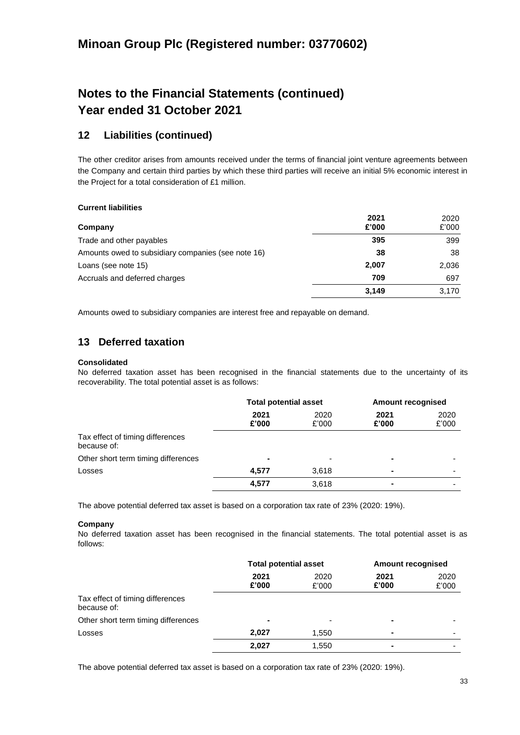# **Notes to the Financial Statements (continued) Year ended 31 October 2021**

## **12 Liabilities (continued)**

The other creditor arises from amounts received under the terms of financial joint venture agreements between the Company and certain third parties by which these third parties will receive an initial 5% economic interest in the Project for a total consideration of £1 million.

## **Current liabilities**

| Company                                            | 2021<br>£'000 | 2020<br>£'000 |
|----------------------------------------------------|---------------|---------------|
| Trade and other payables                           | 395           | 399           |
| Amounts owed to subsidiary companies (see note 16) | 38            | 38            |
| Loans (see note 15)                                | 2,007         | 2,036         |
| Accruals and deferred charges                      | 709           | 697           |
|                                                    | 3,149         | 3.170         |

Amounts owed to subsidiary companies are interest free and repayable on demand.

## **13 Deferred taxation**

## **Consolidated**

No deferred taxation asset has been recognised in the financial statements due to the uncertainty of its recoverability. The total potential asset is as follows:

|                                                 | <b>Total potential asset</b> |                          | <b>Amount recognised</b> |                          |
|-------------------------------------------------|------------------------------|--------------------------|--------------------------|--------------------------|
|                                                 | 2021<br>£'000                | 2020<br>£'000            | 2021<br>£'000            | 2020<br>£'000            |
| Tax effect of timing differences<br>because of: |                              |                          |                          |                          |
| Other short term timing differences             | $\blacksquare$               | $\overline{\phantom{0}}$ | $\blacksquare$           |                          |
| Losses                                          | 4,577                        | 3,618                    | $\blacksquare$           | $\overline{\phantom{0}}$ |
|                                                 | 4,577                        | 3,618                    | $\blacksquare$           |                          |

The above potential deferred tax asset is based on a corporation tax rate of 23% (2020: 19%).

## **Company**

No deferred taxation asset has been recognised in the financial statements. The total potential asset is as follows:

|                                                 | <b>Total potential asset</b> |               | <b>Amount recognised</b> |               |
|-------------------------------------------------|------------------------------|---------------|--------------------------|---------------|
|                                                 | 2021<br>£'000                | 2020<br>£'000 | 2021<br>£'000            | 2020<br>£'000 |
| Tax effect of timing differences<br>because of: |                              |               |                          |               |
| Other short term timing differences             | $\blacksquare$               |               |                          |               |
| Losses                                          | 2,027                        | 1,550         | $\blacksquare$           |               |
|                                                 | 2,027                        | 1,550         |                          |               |

The above potential deferred tax asset is based on a corporation tax rate of 23% (2020: 19%).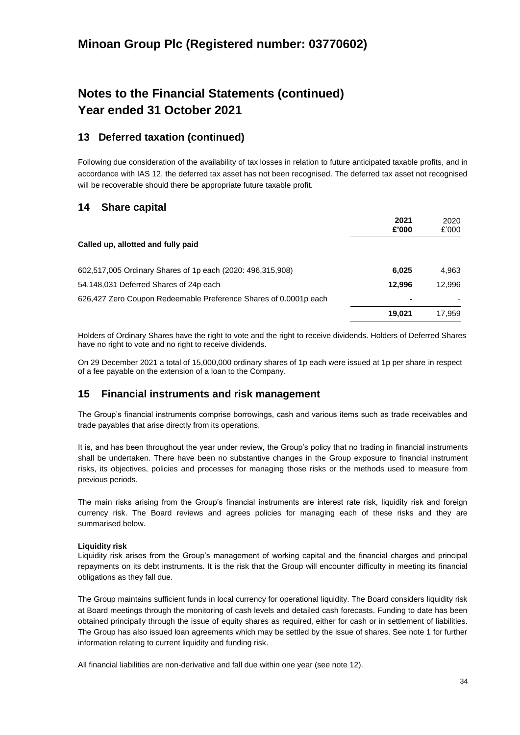# **Notes to the Financial Statements (continued) Year ended 31 October 2021**

## **13 Deferred taxation (continued)**

Following due consideration of the availability of tax losses in relation to future anticipated taxable profits, and in accordance with IAS 12, the deferred tax asset has not been recognised. The deferred tax asset not recognised will be recoverable should there be appropriate future taxable profit.

## **14 Share capital**

|                                                                  | 2021<br>£'000 | 2020<br>£'000 |
|------------------------------------------------------------------|---------------|---------------|
| Called up, allotted and fully paid                               |               |               |
| 602,517,005 Ordinary Shares of 1p each (2020: 496,315,908)       | 6,025         | 4,963         |
| 54,148,031 Deferred Shares of 24p each                           | 12,996        | 12.996        |
| 626,427 Zero Coupon Redeemable Preference Shares of 0.0001p each | ٠             |               |
|                                                                  | 19.021        | 17.959        |

Holders of Ordinary Shares have the right to vote and the right to receive dividends. Holders of Deferred Shares have no right to vote and no right to receive dividends.

On 29 December 2021 a total of 15,000,000 ordinary shares of 1p each were issued at 1p per share in respect of a fee payable on the extension of a loan to the Company.

## **15 Financial instruments and risk management**

The Group's financial instruments comprise borrowings, cash and various items such as trade receivables and trade payables that arise directly from its operations.

It is, and has been throughout the year under review, the Group's policy that no trading in financial instruments shall be undertaken. There have been no substantive changes in the Group exposure to financial instrument risks, its objectives, policies and processes for managing those risks or the methods used to measure from previous periods.

The main risks arising from the Group's financial instruments are interest rate risk, liquidity risk and foreign currency risk. The Board reviews and agrees policies for managing each of these risks and they are summarised below.

## **Liquidity risk**

Liquidity risk arises from the Group's management of working capital and the financial charges and principal repayments on its debt instruments. It is the risk that the Group will encounter difficulty in meeting its financial obligations as they fall due.

The Group maintains sufficient funds in local currency for operational liquidity. The Board considers liquidity risk at Board meetings through the monitoring of cash levels and detailed cash forecasts. Funding to date has been obtained principally through the issue of equity shares as required, either for cash or in settlement of liabilities. The Group has also issued loan agreements which may be settled by the issue of shares. See note 1 for further information relating to current liquidity and funding risk.

All financial liabilities are non-derivative and fall due within one year (see note 12).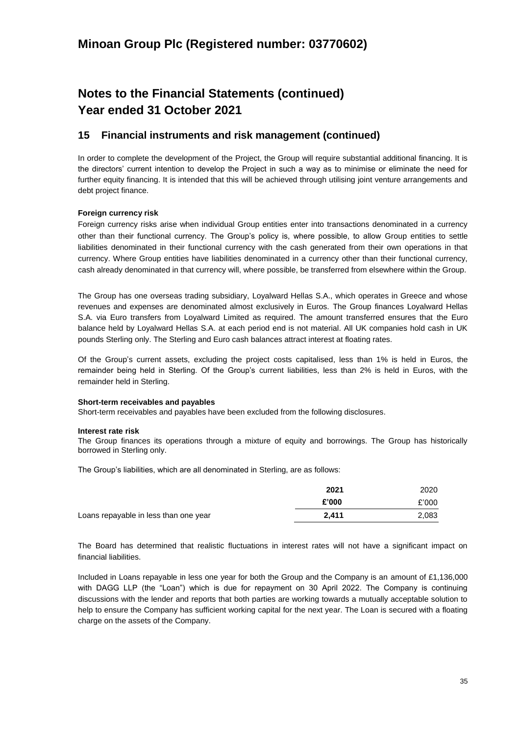# **Notes to the Financial Statements (continued) Year ended 31 October 2021**

## **15 Financial instruments and risk management (continued)**

In order to complete the development of the Project, the Group will require substantial additional financing. It is the directors' current intention to develop the Project in such a way as to minimise or eliminate the need for further equity financing. It is intended that this will be achieved through utilising joint venture arrangements and debt project finance.

## **Foreign currency risk**

Foreign currency risks arise when individual Group entities enter into transactions denominated in a currency other than their functional currency. The Group's policy is, where possible, to allow Group entities to settle liabilities denominated in their functional currency with the cash generated from their own operations in that currency. Where Group entities have liabilities denominated in a currency other than their functional currency, cash already denominated in that currency will, where possible, be transferred from elsewhere within the Group.

The Group has one overseas trading subsidiary, Loyalward Hellas S.A., which operates in Greece and whose revenues and expenses are denominated almost exclusively in Euros. The Group finances Loyalward Hellas S.A. via Euro transfers from Loyalward Limited as required. The amount transferred ensures that the Euro balance held by Loyalward Hellas S.A. at each period end is not material. All UK companies hold cash in UK pounds Sterling only. The Sterling and Euro cash balances attract interest at floating rates.

Of the Group's current assets, excluding the project costs capitalised, less than 1% is held in Euros, the remainder being held in Sterling. Of the Group's current liabilities, less than 2% is held in Euros, with the remainder held in Sterling.

#### **Short-term receivables and payables**

Short-term receivables and payables have been excluded from the following disclosures.

#### **Interest rate risk**

The Group finances its operations through a mixture of equity and borrowings. The Group has historically borrowed in Sterling only.

The Group's liabilities, which are all denominated in Sterling, are as follows:

|                                       | 2021  | 2020  |
|---------------------------------------|-------|-------|
|                                       | £'000 | £'000 |
| Loans repayable in less than one year | 2.411 | 2,083 |

The Board has determined that realistic fluctuations in interest rates will not have a significant impact on financial liabilities.

Included in Loans repayable in less one year for both the Group and the Company is an amount of £1,136,000 with DAGG LLP (the "Loan") which is due for repayment on 30 April 2022. The Company is continuing discussions with the lender and reports that both parties are working towards a mutually acceptable solution to help to ensure the Company has sufficient working capital for the next year. The Loan is secured with a floating charge on the assets of the Company.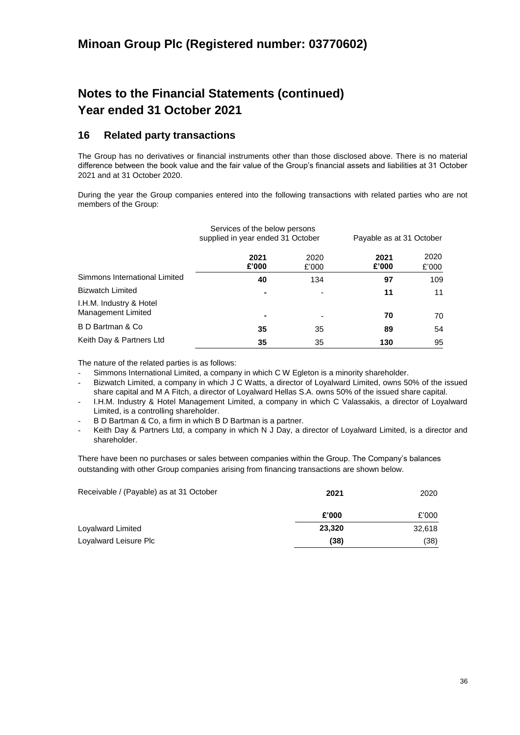# **Notes to the Financial Statements (continued) Year ended 31 October 2021**

## **16 Related party transactions**

The Group has no derivatives or financial instruments other than those disclosed above. There is no material difference between the book value and the fair value of the Group's financial assets and liabilities at 31 October 2021 and at 31 October 2020.

During the year the Group companies entered into the following transactions with related parties who are not members of the Group:

|                                               | Services of the below persons<br>supplied in year ended 31 October |               |               | Payable as at 31 October |  |
|-----------------------------------------------|--------------------------------------------------------------------|---------------|---------------|--------------------------|--|
|                                               | 2021<br>£'000                                                      | 2020<br>£'000 | 2021<br>£'000 | 2020<br>£'000            |  |
| Simmons International Limited                 | 40                                                                 | 134           | 97            | 109                      |  |
| <b>Bizwatch Limited</b>                       |                                                                    |               | 11            | 11                       |  |
| I.H.M. Industry & Hotel<br>Management Limited |                                                                    |               | 70            | 70                       |  |
| B D Bartman & Co                              | 35                                                                 | 35            | 89            | 54                       |  |
| Keith Day & Partners Ltd                      | 35                                                                 | 35            | 130           | 95                       |  |

The nature of the related parties is as follows:

- Simmons International Limited, a company in which C W Egleton is a minority shareholder.
- Bizwatch Limited, a company in which J C Watts, a director of Loyalward Limited, owns 50% of the issued share capital and M A Fitch, a director of Loyalward Hellas S.A. owns 50% of the issued share capital.
- I.H.M. Industry & Hotel Management Limited, a company in which C Valassakis, a director of Loyalward Limited, is a controlling shareholder.
- B D Bartman & Co, a firm in which B D Bartman is a partner.
- Keith Day & Partners Ltd, a company in which N J Day, a director of Loyalward Limited, is a director and shareholder.

There have been no purchases or sales between companies within the Group. The Company's balances outstanding with other Group companies arising from financing transactions are shown below.

| Receivable / (Payable) as at 31 October | 2021   | 2020   |
|-----------------------------------------|--------|--------|
|                                         | £'000  | £'000  |
| Loyalward Limited                       | 23,320 | 32,618 |
| Loyalward Leisure Plc                   | (38)   | (38)   |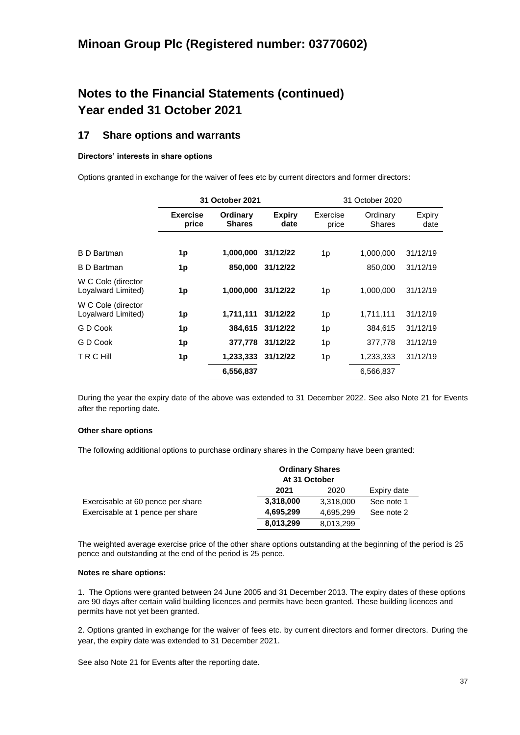# **Notes to the Financial Statements (continued) Year ended 31 October 2021**

## **17 Share options and warrants**

### **Directors' interests in share options**

Options granted in exchange for the waiver of fees etc by current directors and former directors:

|                                          | 31 October 2021          |                           | 31 October 2020       |                   |                    |                |
|------------------------------------------|--------------------------|---------------------------|-----------------------|-------------------|--------------------|----------------|
|                                          | <b>Exercise</b><br>price | Ordinary<br><b>Shares</b> | <b>Expiry</b><br>date | Exercise<br>price | Ordinary<br>Shares | Expiry<br>date |
|                                          |                          |                           |                       |                   |                    |                |
| <b>B</b> D Bartman                       | 1p                       | 1,000,000                 | 31/12/22              | 1p                | 1,000,000          | 31/12/19       |
| <b>B</b> D Bartman                       | 1p                       | 850,000                   | 31/12/22              |                   | 850,000            | 31/12/19       |
| W C Cole (director<br>Loyalward Limited) | 1p                       | 1,000,000                 | 31/12/22              | 1p                | 1,000,000          | 31/12/19       |
| W C Cole (director<br>Loyalward Limited) | 1p                       | 1,711,111                 | 31/12/22              | 1p                | 1,711,111          | 31/12/19       |
| G D Cook                                 | 1p                       | 384,615                   | 31/12/22              | 1p                | 384,615            | 31/12/19       |
| G D Cook                                 | 1p                       | 377,778                   | 31/12/22              | 1p                | 377,778            | 31/12/19       |
| <b>TRCHIII</b>                           | 1p                       | 1,233,333                 | 31/12/22              | 1p                | 1,233,333          | 31/12/19       |
|                                          |                          | 6,556,837                 |                       |                   | 6,566,837          |                |

During the year the expiry date of the above was extended to 31 December 2022. See also Note 21 for Events after the reporting date.

#### **Other share options**

The following additional options to purchase ordinary shares in the Company have been granted:

|                                   | <b>Ordinary Shares</b><br>At 31 October |           |             |
|-----------------------------------|-----------------------------------------|-----------|-------------|
|                                   | 2021                                    | 2020      | Expiry date |
| Exercisable at 60 pence per share | 3,318,000                               | 3,318,000 | See note 1  |
| Exercisable at 1 pence per share  | 4,695,299                               | 4,695,299 | See note 2  |
|                                   | 8,013,299                               | 8,013,299 |             |

The weighted average exercise price of the other share options outstanding at the beginning of the period is 25 pence and outstanding at the end of the period is 25 pence.

#### **Notes re share options:**

1. The Options were granted between 24 June 2005 and 31 December 2013. The expiry dates of these options are 90 days after certain valid building licences and permits have been granted. These building licences and permits have not yet been granted.

2. Options granted in exchange for the waiver of fees etc. by current directors and former directors. During the year, the expiry date was extended to 31 December 2021.

See also Note 21 for Events after the reporting date.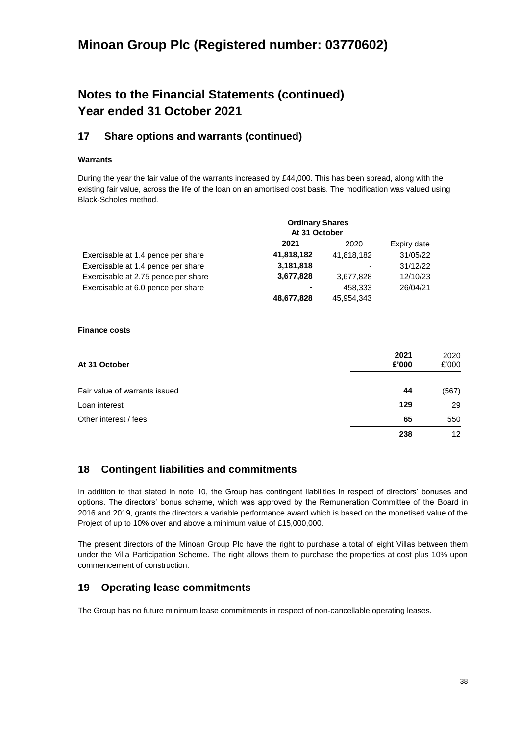# **Notes to the Financial Statements (continued) Year ended 31 October 2021**

## **17 Share options and warrants (continued)**

## **Warrants**

During the year the fair value of the warrants increased by £44,000. This has been spread, along with the existing fair value, across the life of the loan on an amortised cost basis. The modification was valued using Black-Scholes method.

|                                     | <b>Ordinary Shares</b><br>At 31 October |            |             |
|-------------------------------------|-----------------------------------------|------------|-------------|
|                                     | 2021                                    | 2020       | Expiry date |
| Exercisable at 1.4 pence per share  | 41,818,182                              | 41,818,182 | 31/05/22    |
| Exercisable at 1.4 pence per share  | 3,181,818                               |            | 31/12/22    |
| Exercisable at 2.75 pence per share | 3,677,828                               | 3,677,828  | 12/10/23    |
| Exercisable at 6.0 pence per share  | $\overline{\phantom{a}}$                | 458.333    | 26/04/21    |
|                                     | 48,677,828                              | 45.954.343 |             |

### **Finance costs**

| At 31 October                 | 2021<br>£'000 | 2020<br>£'000     |
|-------------------------------|---------------|-------------------|
| Fair value of warrants issued | 44            | (567)             |
| Loan interest                 | 129           | 29                |
| Other interest / fees         | 65            | 550               |
|                               | 238           | $12 \overline{ }$ |

## **18 Contingent liabilities and commitments**

In addition to that stated in note 10, the Group has contingent liabilities in respect of directors' bonuses and options. The directors' bonus scheme, which was approved by the Remuneration Committee of the Board in 2016 and 2019, grants the directors a variable performance award which is based on the monetised value of the Project of up to 10% over and above a minimum value of £15,000,000.

The present directors of the Minoan Group Plc have the right to purchase a total of eight Villas between them under the Villa Participation Scheme. The right allows them to purchase the properties at cost plus 10% upon commencement of construction.

## **19 Operating lease commitments**

The Group has no future minimum lease commitments in respect of non-cancellable operating leases.